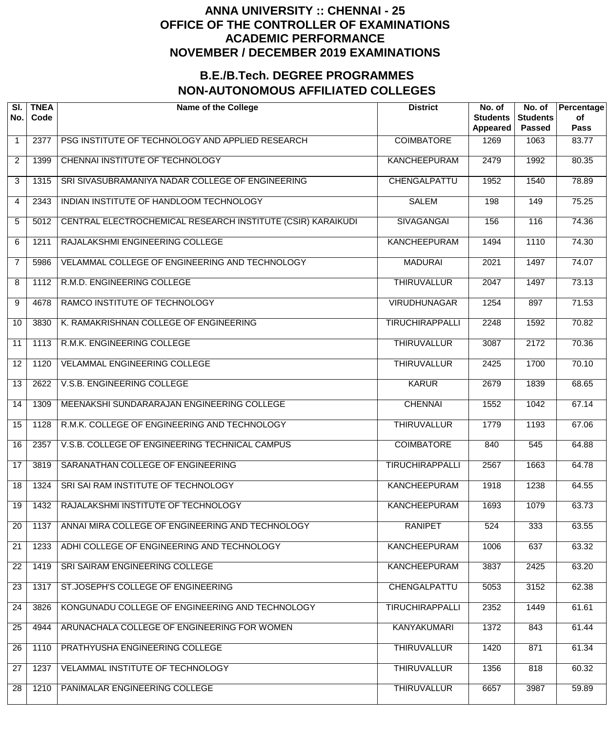| SI.<br>No.      | <b>TNEA</b><br>Code | <b>Name of the College</b>                                  | <b>District</b>        | No. of<br><b>Students</b><br>Appeared | No. of<br><b>Students</b><br><b>Passed</b> | Percentage<br>of<br><b>Pass</b> |
|-----------------|---------------------|-------------------------------------------------------------|------------------------|---------------------------------------|--------------------------------------------|---------------------------------|
| $\mathbf{1}$    | 2377                | PSG INSTITUTE OF TECHNOLOGY AND APPLIED RESEARCH            | <b>COIMBATORE</b>      | 1269                                  | 1063                                       | 83.77                           |
| $\overline{2}$  | 1399                | <b>CHENNAI INSTITUTE OF TECHNOLOGY</b>                      | <b>KANCHEEPURAM</b>    | 2479                                  | 1992                                       | 80.35                           |
| 3               | 1315                | SRI SIVASUBRAMANIYA NADAR COLLEGE OF ENGINEERING            | CHENGALPATTU           | 1952                                  | 1540                                       | 78.89                           |
| 4               | 2343                | INDIAN INSTITUTE OF HANDLOOM TECHNOLOGY                     | <b>SALEM</b>           | 198                                   | 149                                        | 75.25                           |
| 5               | 5012                | CENTRAL ELECTROCHEMICAL RESEARCH INSTITUTE (CSIR) KARAIKUDI | <b>SIVAGANGAI</b>      | 156                                   | 116                                        | 74.36                           |
| 6               | 1211                | RAJALAKSHMI ENGINEERING COLLEGE                             | <b>KANCHEEPURAM</b>    | 1494                                  | 1110                                       | 74.30                           |
| $\overline{7}$  | 5986                | VELAMMAL COLLEGE OF ENGINEERING AND TECHNOLOGY              | <b>MADURAI</b>         | 2021                                  | 1497                                       | 74.07                           |
| 8               | 1112                | R.M.D. ENGINEERING COLLEGE                                  | <b>THIRUVALLUR</b>     | 2047                                  | 1497                                       | 73.13                           |
| 9               | 4678                | RAMCO INSTITUTE OF TECHNOLOGY                               | <b>VIRUDHUNAGAR</b>    | 1254                                  | 897                                        | 71.53                           |
| 10              | 3830                | K. RAMAKRISHNAN COLLEGE OF ENGINEERING                      | <b>TIRUCHIRAPPALLI</b> | 2248                                  | 1592                                       | 70.82                           |
| 11              | 1113                | R.M.K. ENGINEERING COLLEGE                                  | <b>THIRUVALLUR</b>     | 3087                                  | 2172                                       | 70.36                           |
| 12              | 1120                | <b>VELAMMAL ENGINEERING COLLEGE</b>                         | <b>THIRUVALLUR</b>     | 2425                                  | 1700                                       | 70.10                           |
| 13              | 2622                | V.S.B. ENGINEERING COLLEGE                                  | <b>KARUR</b>           | 2679                                  | 1839                                       | 68.65                           |
| 14              | 1309                | MEENAKSHI SUNDARARAJAN ENGINEERING COLLEGE                  | <b>CHENNAI</b>         | 1552                                  | $\frac{1042}{ }$                           | 67.14                           |
| 15              | 1128                | R.M.K. COLLEGE OF ENGINEERING AND TECHNOLOGY                | <b>THIRUVALLUR</b>     | 1779                                  | 1193                                       | 67.06                           |
| $\overline{16}$ | 2357                | V.S.B. COLLEGE OF ENGINEERING TECHNICAL CAMPUS              | <b>COIMBATORE</b>      | 840                                   | 545                                        | 64.88                           |
| 17              | 3819                | SARANATHAN COLLEGE OF ENGINEERING                           | <b>TIRUCHIRAPPALLI</b> | 2567                                  | 1663                                       | 64.78                           |
| $\overline{18}$ | 1324                | SRI SAI RAM INSTITUTE OF TECHNOLOGY                         | <b>KANCHEEPURAM</b>    | 1918                                  | 1238                                       | 64.55                           |
| 19              | 1432                | RAJALAKSHMI INSTITUTE OF TECHNOLOGY                         | <b>KANCHEEPURAM</b>    | 1693                                  | 1079                                       | 63.73                           |
| 20              | 1137                | ANNAI MIRA COLLEGE OF ENGINEERING AND TECHNOLOGY            | <b>RANIPET</b>         | 524                                   | 333                                        | 63.55                           |
| 21              | 1233                | ADHI COLLEGE OF ENGINEERING AND TECHNOLOGY                  | <b>KANCHEEPURAM</b>    | 1006                                  | 637                                        | 63.32                           |
| 22              | 1419                | SRI SAIRAM ENGINEERING COLLEGE                              | <b>KANCHEEPURAM</b>    | 3837                                  | 2425                                       | 63.20                           |
| 23              | 1317                | ST.JOSEPH'S COLLEGE OF ENGINEERING                          | CHENGALPATTU           | 5053                                  | 3152                                       | 62.38                           |
| 24              | 3826                | KONGUNADU COLLEGE OF ENGINEERING AND TECHNOLOGY             | <b>TIRUCHIRAPPALLI</b> | 2352                                  | 1449                                       | 61.61                           |
| 25              | 4944                | ARUNACHALA COLLEGE OF ENGINEERING FOR WOMEN                 | <b>KANYAKUMARI</b>     | 1372                                  | 843                                        | 61.44                           |
| 26              | 1110                | PRATHYUSHA ENGINEERING COLLEGE                              | <b>THIRUVALLUR</b>     | 1420                                  | 871                                        | 61.34                           |
| 27              | 1237                | VELAMMAL INSTITUTE OF TECHNOLOGY                            | <b>THIRUVALLUR</b>     | 1356                                  | 818                                        | 60.32                           |
| $\overline{28}$ | 1210                | PANIMALAR ENGINEERING COLLEGE                               | <b>THIRUVALLUR</b>     | 6657                                  | 3987                                       | 59.89                           |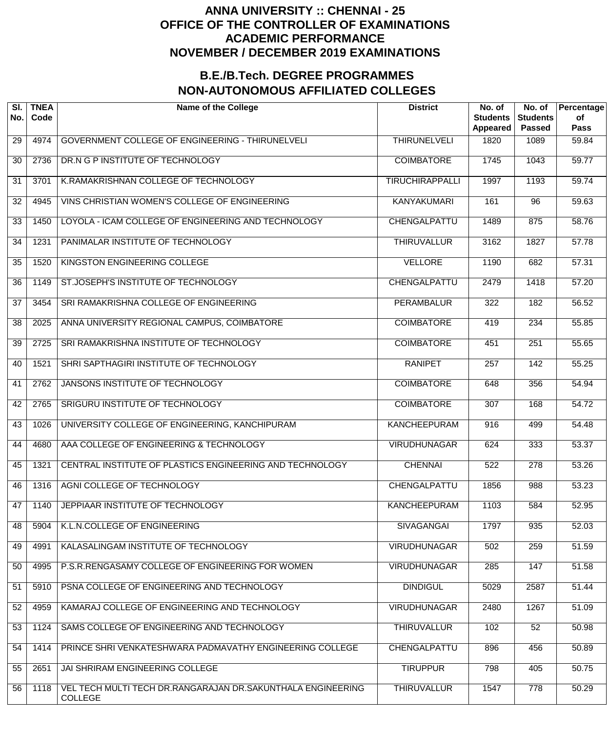| SI.<br>No.      | <b>TNEA</b><br>Code | <b>Name of the College</b>                                                    | <b>District</b>        | No. of<br><b>Students</b><br>Appeared | No. of<br><b>Students</b><br><b>Passed</b> | Percentage<br>of<br><b>Pass</b> |
|-----------------|---------------------|-------------------------------------------------------------------------------|------------------------|---------------------------------------|--------------------------------------------|---------------------------------|
| 29              | 4974                | GOVERNMENT COLLEGE OF ENGINEERING - THIRUNELVELI                              | <b>THIRUNELVELI</b>    | 1820                                  | 1089                                       | 59.84                           |
| 30              | 2736                | DR.N G P INSTITUTE OF TECHNOLOGY                                              | <b>COIMBATORE</b>      | 1745                                  | 1043                                       | 59.77                           |
| 31              | 3701                | K.RAMAKRISHNAN COLLEGE OF TECHNOLOGY                                          | <b>TIRUCHIRAPPALLI</b> | 1997                                  | 1193                                       | 59.74                           |
| 32              | 4945                | VINS CHRISTIAN WOMEN'S COLLEGE OF ENGINEERING                                 | <b>KANYAKUMARI</b>     | 161                                   | $\overline{96}$                            | $\overline{59.63}$              |
| 33              | 1450                | LOYOLA - ICAM COLLEGE OF ENGINEERING AND TECHNOLOGY                           | CHENGALPATTU           | 1489                                  | 875                                        | 58.76                           |
| 34              | 1231                | PANIMALAR INSTITUTE OF TECHNOLOGY                                             | <b>THIRUVALLUR</b>     | 3162                                  | 1827                                       | 57.78                           |
| $\overline{35}$ | 1520                | KINGSTON ENGINEERING COLLEGE                                                  | <b>VELLORE</b>         | 1190                                  | 682                                        | 57.31                           |
| 36              | 1149                | ST.JOSEPH'S INSTITUTE OF TECHNOLOGY                                           | CHENGALPATTU           | 2479                                  | 1418                                       | 57.20                           |
| 37              | 3454                | SRI RAMAKRISHNA COLLEGE OF ENGINEERING                                        | <b>PERAMBALUR</b>      | 322                                   | 182                                        | 56.52                           |
| $\overline{38}$ | 2025                | ANNA UNIVERSITY REGIONAL CAMPUS, COIMBATORE                                   | <b>COIMBATORE</b>      | $\overline{419}$                      | 234                                        | 55.85                           |
| 39              | 2725                | SRI RAMAKRISHNA INSTITUTE OF TECHNOLOGY                                       | <b>COIMBATORE</b>      | 451                                   | $\overline{251}$                           | 55.65                           |
| 40              | 1521                | SHRI SAPTHAGIRI INSTITUTE OF TECHNOLOGY                                       | <b>RANIPET</b>         | $\overline{257}$                      | $\overline{142}$                           | 55.25                           |
| 41              | 2762                | JANSONS INSTITUTE OF TECHNOLOGY                                               | <b>COIMBATORE</b>      | 648                                   | 356                                        | 54.94                           |
| 42              | 2765                | SRIGURU INSTITUTE OF TECHNOLOGY                                               | <b>COIMBATORE</b>      | $\overline{307}$                      | 168                                        | 54.72                           |
| 43              | 1026                | UNIVERSITY COLLEGE OF ENGINEERING, KANCHIPURAM                                | <b>KANCHEEPURAM</b>    | 916                                   | 499                                        | 54.48                           |
| 44              | 4680                | AAA COLLEGE OF ENGINEERING & TECHNOLOGY                                       | <b>VIRUDHUNAGAR</b>    | 624                                   | 333                                        | 53.37                           |
| 45              | 1321                | CENTRAL INSTITUTE OF PLASTICS ENGINEERING AND TECHNOLOGY                      | <b>CHENNAI</b>         | 522                                   | 278                                        | 53.26                           |
| 46              | 1316                | AGNI COLLEGE OF TECHNOLOGY                                                    | CHENGALPATTU           | 1856                                  | 988                                        | 53.23                           |
| 47              | 1140                | JEPPIAAR INSTITUTE OF TECHNOLOGY                                              | <b>KANCHEEPURAM</b>    | 1103                                  | 584                                        | 52.95                           |
| 48              | 5904                | K.L.N.COLLEGE OF ENGINEERING                                                  | <b>SIVAGANGAI</b>      | 1797                                  | 935                                        | 52.03                           |
| 49              | 4991                | KALASALINGAM INSTITUTE OF TECHNOLOGY                                          | <b>VIRUDHUNAGAR</b>    | 502                                   | 259                                        | 51.59                           |
| 50              | 4995                | P.S.R.RENGASAMY COLLEGE OF ENGINEERING FOR WOMEN                              | <b>VIRUDHUNAGAR</b>    | 285                                   | 147                                        | 51.58                           |
| 51              | 5910                | PSNA COLLEGE OF ENGINEERING AND TECHNOLOGY                                    | <b>DINDIGUL</b>        | 5029                                  | 2587                                       | 51.44                           |
| 52              | 4959                | KAMARAJ COLLEGE OF ENGINEERING AND TECHNOLOGY                                 | <b>VIRUDHUNAGAR</b>    | 2480                                  | 1267                                       | 51.09                           |
| 53              | 1124                | SAMS COLLEGE OF ENGINEERING AND TECHNOLOGY                                    | <b>THIRUVALLUR</b>     | 102                                   | 52                                         | 50.98                           |
| 54              | 1414                | PRINCE SHRI VENKATESHWARA PADMAVATHY ENGINEERING COLLEGE                      | CHENGALPATTU           | 896                                   | 456                                        | 50.89                           |
| 55              | 2651                | JAI SHRIRAM ENGINEERING COLLEGE                                               | <b>TIRUPPUR</b>        | 798                                   | 405                                        | 50.75                           |
| 56              | 1118                | VEL TECH MULTI TECH DR.RANGARAJAN DR.SAKUNTHALA ENGINEERING<br><b>COLLEGE</b> | <b>THIRUVALLUR</b>     | 1547                                  | 778                                        | 50.29                           |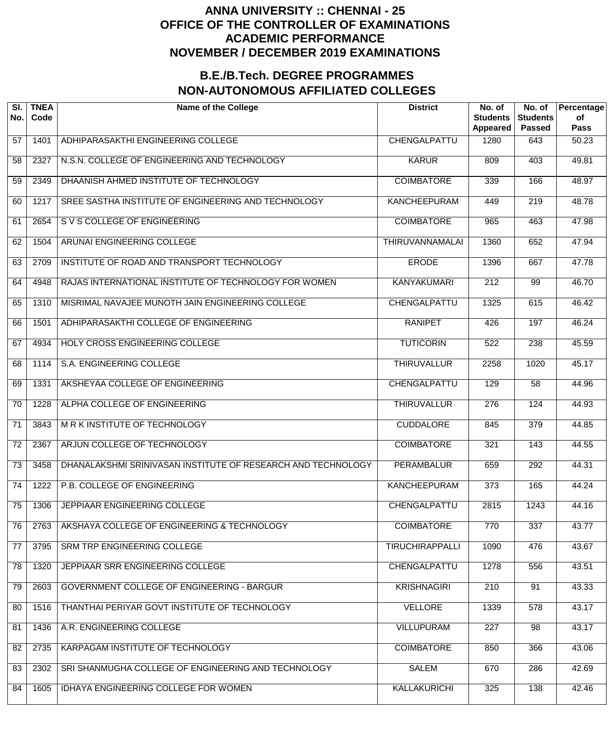| SI.<br>No.      | <b>TNEA</b><br>Code | <b>Name of the College</b>                                   | <b>District</b>        | No. of<br><b>Students</b><br><b>Appeared</b> | No. of<br><b>Students</b><br><b>Passed</b> | Percentage<br>of<br><b>Pass</b> |
|-----------------|---------------------|--------------------------------------------------------------|------------------------|----------------------------------------------|--------------------------------------------|---------------------------------|
| 57              | 1401                | ADHIPARASAKTHI ENGINEERING COLLEGE                           | CHENGALPATTU           | 1280                                         | 643                                        | 50.23                           |
| 58              | 2327                | N.S.N. COLLEGE OF ENGINEERING AND TECHNOLOGY                 | <b>KARUR</b>           | 809                                          | 403                                        | 49.81                           |
| 59              | 2349                | DHAANISH AHMED INSTITUTE OF TECHNOLOGY                       | <b>COIMBATORE</b>      | 339                                          | 166                                        | 48.97                           |
| 60              | 1217                | SREE SASTHA INSTITUTE OF ENGINEERING AND TECHNOLOGY          | <b>KANCHEEPURAM</b>    | 449                                          | $\overline{219}$                           | 48.78                           |
| 61              | 2654                | S V S COLLEGE OF ENGINEERING                                 | <b>COIMBATORE</b>      | 965                                          | 463                                        | 47.98                           |
| 62              | 1504                | ARUNAI ENGINEERING COLLEGE                                   | THIRUVANNAMALAI        | 1360                                         | 652                                        | 47.94                           |
| 63              | 2709                | INSTITUTE OF ROAD AND TRANSPORT TECHNOLOGY                   | <b>ERODE</b>           | 1396                                         | 667                                        | 47.78                           |
| 64              | 4948                | RAJAS INTERNATIONAL INSTITUTE OF TECHNOLOGY FOR WOMEN        | <b>KANYAKUMARI</b>     | $\overline{212}$                             | $\overline{99}$                            | 46.70                           |
| 65              | 1310                | MISRIMAL NAVAJEE MUNOTH JAIN ENGINEERING COLLEGE             | CHENGALPATTU           | 1325                                         | 615                                        | 46.42                           |
| 66              | 1501                | ADHIPARASAKTHI COLLEGE OF ENGINEERING                        | <b>RANIPET</b>         | 426                                          | 197                                        | 46.24                           |
| 67              | 4934                | HOLY CROSS ENGINEERING COLLEGE                               | <b>TUTICORIN</b>       | 522                                          | $\overline{238}$                           | 45.59                           |
| 68              | 1114                | S.A. ENGINEERING COLLEGE                                     | <b>THIRUVALLUR</b>     | 2258                                         | 1020                                       | 45.17                           |
| 69              | 1331                | AKSHEYAA COLLEGE OF ENGINEERING                              | CHENGALPATTU           | 129                                          | $\overline{58}$                            | 44.96                           |
| 70              | 1228                | ALPHA COLLEGE OF ENGINEERING                                 | <b>THIRUVALLUR</b>     | $\overline{276}$                             | 124                                        | 44.93                           |
| 71              | 3843                | M R K INSTITUTE OF TECHNOLOGY                                | <b>CUDDALORE</b>       | 845                                          | $\overline{379}$                           | 44.85                           |
| $\overline{72}$ | 2367                | ARJUN COLLEGE OF TECHNOLOGY                                  | <b>COIMBATORE</b>      | 321                                          | 143                                        | 44.55                           |
| $\overline{73}$ | 3458                | DHANALAKSHMI SRINIVASAN INSTITUTE OF RESEARCH AND TECHNOLOGY | <b>PERAMBALUR</b>      | 659                                          | 292                                        | 44.31                           |
| $\overline{74}$ | 1222                | P.B. COLLEGE OF ENGINEERING                                  | <b>KANCHEEPURAM</b>    | 373                                          | 165                                        | 44.24                           |
| 75              | 1306                | JEPPIAAR ENGINEERING COLLEGE                                 | CHENGALPATTU           | 2815                                         | 1243                                       | 44.16                           |
| 76              | 2763                | AKSHAYA COLLEGE OF ENGINEERING & TECHNOLOGY                  | <b>COIMBATORE</b>      | 770                                          | 337                                        | 43.77                           |
| 77              | 3795                | SRM TRP ENGINEERING COLLEGE                                  | <b>TIRUCHIRAPPALLI</b> | 1090                                         | 476                                        | 43.67                           |
| 78              | 1320                | JEPPIAAR SRR ENGINEERING COLLEGE                             | CHENGALPATTU           | 1278                                         | 556                                        | 43.51                           |
| 79              | 2603                | GOVERNMENT COLLEGE OF ENGINEERING - BARGUR                   | <b>KRISHNAGIRI</b>     | 210                                          | 91                                         | 43.33                           |
| 80              | 1516                | THANTHAI PERIYAR GOVT INSTITUTE OF TECHNOLOGY                | <b>VELLORE</b>         | 1339                                         | 578                                        | 43.17                           |
| 81              | 1436                | A.R. ENGINEERING COLLEGE                                     | <b>VILLUPURAM</b>      | 227                                          | 98                                         | 43.17                           |
| 82              | 2735                | KARPAGAM INSTITUTE OF TECHNOLOGY                             | <b>COIMBATORE</b>      | 850                                          | 366                                        | 43.06                           |
| 83              | 2302                | SRI SHANMUGHA COLLEGE OF ENGINEERING AND TECHNOLOGY          | <b>SALEM</b>           | 670                                          | 286                                        | 42.69                           |
| 84              | 1605                | IDHAYA ENGINEERING COLLEGE FOR WOMEN                         | KALLAKURICHI           | 325                                          | 138                                        | 42.46                           |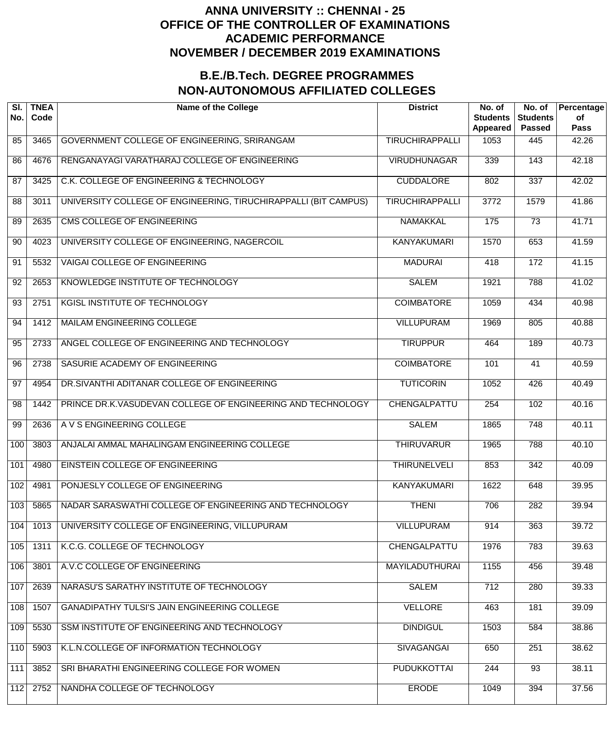| SI.<br>No. | <b>TNEA</b><br>Code | <b>Name of the College</b>                                      | <b>District</b>        | No. of<br><b>Students</b><br><b>Appeared</b> | No. of<br><b>Students</b><br><b>Passed</b> | Percentage<br>of<br><b>Pass</b> |
|------------|---------------------|-----------------------------------------------------------------|------------------------|----------------------------------------------|--------------------------------------------|---------------------------------|
| 85         | 3465                | GOVERNMENT COLLEGE OF ENGINEERING, SRIRANGAM                    | <b>TIRUCHIRAPPALLI</b> | 1053                                         | 445                                        | 42.26                           |
| 86         | 4676                | RENGANAYAGI VARATHARAJ COLLEGE OF ENGINEERING                   | <b>VIRUDHUNAGAR</b>    | 339                                          | 143                                        | 42.18                           |
| 87         | 3425                | C.K. COLLEGE OF ENGINEERING & TECHNOLOGY                        | <b>CUDDALORE</b>       | 802                                          | 337                                        | 42.02                           |
| 88         | 3011                | UNIVERSITY COLLEGE OF ENGINEERING, TIRUCHIRAPPALLI (BIT CAMPUS) | <b>TIRUCHIRAPPALLI</b> | 3772                                         | 1579                                       | 41.86                           |
| 89         | 2635                | CMS COLLEGE OF ENGINEERING                                      | <b>NAMAKKAL</b>        | 175                                          | $\overline{73}$                            | 41.71                           |
| 90         | 4023                | UNIVERSITY COLLEGE OF ENGINEERING, NAGERCOIL                    | <b>KANYAKUMARI</b>     | 1570                                         | 653                                        | 41.59                           |
| 91         | 5532                | <b>VAIGAI COLLEGE OF ENGINEERING</b>                            | <b>MADURAI</b>         | 418                                          | 172                                        | 41.15                           |
| 92         | 2653                | KNOWLEDGE INSTITUTE OF TECHNOLOGY                               | <b>SALEM</b>           | 1921                                         | 788                                        | 41.02                           |
| 93         | 2751                | KGISL INSTITUTE OF TECHNOLOGY                                   | <b>COIMBATORE</b>      | 1059                                         | 434                                        | 40.98                           |
| 94         | 1412                | <b>MAILAM ENGINEERING COLLEGE</b>                               | <b>VILLUPURAM</b>      | 1969                                         | 805                                        | 40.88                           |
| 95         | 2733                | ANGEL COLLEGE OF ENGINEERING AND TECHNOLOGY                     | <b>TIRUPPUR</b>        | 464                                          | 189                                        | 40.73                           |
| 96         | 2738                | SASURIE ACADEMY OF ENGINEERING                                  | <b>COIMBATORE</b>      | 101                                          | 41                                         | 40.59                           |
| 97         | 4954                | DR.SIVANTHI ADITANAR COLLEGE OF ENGINEERING                     | <b>TUTICORIN</b>       | 1052                                         | 426                                        | 40.49                           |
| 98         | 1442                | PRINCE DR.K.VASUDEVAN COLLEGE OF ENGINEERING AND TECHNOLOGY     | CHENGALPATTU           | 254                                          | 102                                        | 40.16                           |
| 99         | 2636                | A V S ENGINEERING COLLEGE                                       | <b>SALEM</b>           | 1865                                         | $\overline{748}$                           | 40.11                           |
| 100        | 3803                | ANJALAI AMMAL MAHALINGAM ENGINEERING COLLEGE                    | <b>THIRUVARUR</b>      | 1965                                         | 788                                        | 40.10                           |
| 101        | 4980                | <b>EINSTEIN COLLEGE OF ENGINEERING</b>                          | <b>THIRUNELVELI</b>    | 853                                          | 342                                        | 40.09                           |
| 102        | 4981                | PONJESLY COLLEGE OF ENGINEERING                                 | <b>KANYAKUMARI</b>     | 1622                                         | 648                                        | 39.95                           |
| 103        | 5865                | NADAR SARASWATHI COLLEGE OF ENGINEERING AND TECHNOLOGY          | <b>THENI</b>           | 706                                          | 282                                        | 39.94                           |
| 104        | 1013                | UNIVERSITY COLLEGE OF ENGINEERING, VILLUPURAM                   | <b>VILLUPURAM</b>      | 914                                          | 363                                        | 39.72                           |
| 105        | 1311                | K.C.G. COLLEGE OF TECHNOLOGY                                    | CHENGALPATTU           | 1976                                         | 783                                        | 39.63                           |
| 106        | 3801                | A.V.C COLLEGE OF ENGINEERING                                    | <b>MAYILADUTHURAI</b>  | 1155                                         | 456                                        | 39.48                           |
| 107        | 2639                | NARASU'S SARATHY INSTITUTE OF TECHNOLOGY                        | <b>SALEM</b>           | 712                                          | 280                                        | 39.33                           |
| 108        | 1507                | GANADIPATHY TULSI'S JAIN ENGINEERING COLLEGE                    | <b>VELLORE</b>         | 463                                          | 181                                        | 39.09                           |
| 109        | 5530                | SSM INSTITUTE OF ENGINEERING AND TECHNOLOGY                     | <b>DINDIGUL</b>        | 1503                                         | 584                                        | 38.86                           |
| 110        | 5903                | K.L.N.COLLEGE OF INFORMATION TECHNOLOGY                         | <b>SIVAGANGAI</b>      | 650                                          | 251                                        | 38.62                           |
| 111        | 3852                | SRI BHARATHI ENGINEERING COLLEGE FOR WOMEN                      | <b>PUDUKKOTTAI</b>     | 244                                          | $\overline{93}$                            | 38.11                           |
| 112        | 2752                | NANDHA COLLEGE OF TECHNOLOGY                                    | <b>ERODE</b>           | 1049                                         | 394                                        | 37.56                           |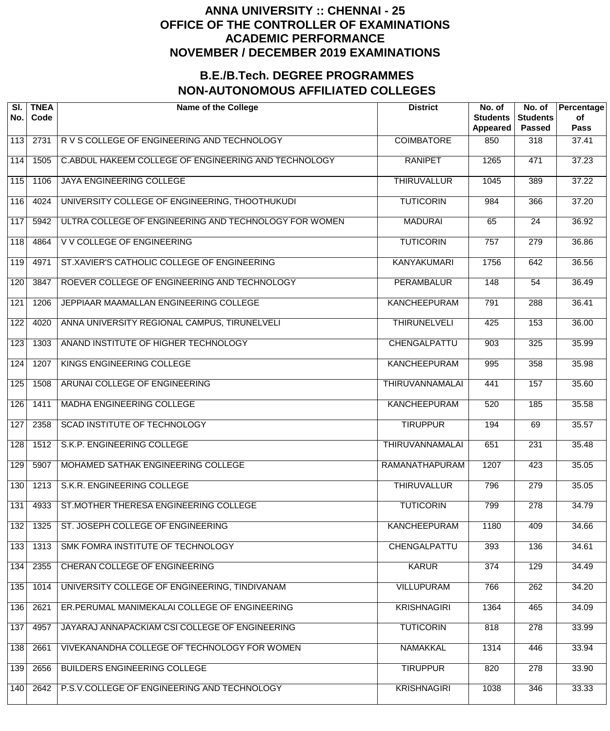| SI.<br>No.       | <b>TNEA</b><br>Code | <b>Name of the College</b>                            | <b>District</b>        | No. of<br><b>Students</b><br><b>Appeared</b> | No. of<br><b>Students</b><br><b>Passed</b> | Percentage<br>of<br><b>Pass</b> |
|------------------|---------------------|-------------------------------------------------------|------------------------|----------------------------------------------|--------------------------------------------|---------------------------------|
| 113              | 2731                | R V S COLLEGE OF ENGINEERING AND TECHNOLOGY           | <b>COIMBATORE</b>      | 850                                          | 318                                        | 37.41                           |
| 114              | 1505                | C.ABDUL HAKEEM COLLEGE OF ENGINEERING AND TECHNOLOGY  | <b>RANIPET</b>         | 1265                                         | 471                                        | 37.23                           |
| 115              | 1106                | <b>JAYA ENGINEERING COLLEGE</b>                       | <b>THIRUVALLUR</b>     | 1045                                         | 389                                        | 37.22                           |
| 116              | 4024                | UNIVERSITY COLLEGE OF ENGINEERING, THOOTHUKUDI        | <b>TUTICORIN</b>       | 984                                          | 366                                        | 37.20                           |
| 117              | 5942                | ULTRA COLLEGE OF ENGINEERING AND TECHNOLOGY FOR WOMEN | <b>MADURAI</b>         | 65                                           | 24                                         | 36.92                           |
| $\overline{118}$ | 4864                | V V COLLEGE OF ENGINEERING                            | <b>TUTICORIN</b>       | 757                                          | $\overline{279}$                           | 36.86                           |
| 119              | 4971                | ST.XAVIER'S CATHOLIC COLLEGE OF ENGINEERING           | <b>KANYAKUMARI</b>     | 1756                                         | 642                                        | 36.56                           |
| 120              | 3847                | ROEVER COLLEGE OF ENGINEERING AND TECHNOLOGY          | <b>PERAMBALUR</b>      | 148                                          | 54                                         | 36.49                           |
| 121              | 1206                | JEPPIAAR MAAMALLAN ENGINEERING COLLEGE                | <b>KANCHEEPURAM</b>    | 791                                          | 288                                        | 36.41                           |
| 122              | 4020                | ANNA UNIVERSITY REGIONAL CAMPUS, TIRUNELVELI          | <b>THIRUNELVELI</b>    | 425                                          | 153                                        | 36.00                           |
| 123              | 1303                | ANAND INSTITUTE OF HIGHER TECHNOLOGY                  | CHENGALPATTU           | 903                                          | 325                                        | 35.99                           |
| 124              | 1207                | KINGS ENGINEERING COLLEGE                             | <b>KANCHEEPURAM</b>    | 995                                          | 358                                        | 35.98                           |
| 125              | 1508                | ARUNAI COLLEGE OF ENGINEERING                         | <b>THIRUVANNAMALAI</b> | 441                                          | 157                                        | 35.60                           |
| $\overline{126}$ | 1411                | MADHA ENGINEERING COLLEGE                             | <b>KANCHEEPURAM</b>    | 520                                          | 185                                        | 35.58                           |
| 127              | 2358                | SCAD INSTITUTE OF TECHNOLOGY                          | <b>TIRUPPUR</b>        | 194                                          | 69                                         | 35.57                           |
| $\overline{128}$ | 1512                | <b>S.K.P. ENGINEERING COLLEGE</b>                     | <b>THIRUVANNAMALAI</b> | 651                                          | 231                                        | 35.48                           |
| 129              | 5907                | MOHAMED SATHAK ENGINEERING COLLEGE                    | RAMANATHAPURAM         | 1207                                         | 423                                        | 35.05                           |
| 130              | 1213                | S.K.R. ENGINEERING COLLEGE                            | <b>THIRUVALLUR</b>     | 796                                          | 279                                        | 35.05                           |
| 131              | 4933                | ST.MOTHER THERESA ENGINEERING COLLEGE                 | <b>TUTICORIN</b>       | 799                                          | 278                                        | 34.79                           |
| 132              | 1325                | ST. JOSEPH COLLEGE OF ENGINEERING                     | <b>KANCHEEPURAM</b>    | 1180                                         | 409                                        | 34.66                           |
| 133              | 1313                | SMK FOMRA INSTITUTE OF TECHNOLOGY                     | CHENGALPATTU           | 393                                          | 136                                        | 34.61                           |
| 134              | 2355                | <b>CHERAN COLLEGE OF ENGINEERING</b>                  | <b>KARUR</b>           | 374                                          | 129                                        | 34.49                           |
| 135              | 1014                | UNIVERSITY COLLEGE OF ENGINEERING, TINDIVANAM         | <b>VILLUPURAM</b>      | 766                                          | $\overline{262}$                           | 34.20                           |
| 136              | 2621                | ER.PERUMAL MANIMEKALAI COLLEGE OF ENGINEERING         | <b>KRISHNAGIRI</b>     | 1364                                         | 465                                        | 34.09                           |
| 137              | 4957                | JAYARAJ ANNAPACKIAM CSI COLLEGE OF ENGINEERING        | <b>TUTICORIN</b>       | 818                                          | 278                                        | 33.99                           |
| 138              | 2661                | VIVEKANANDHA COLLEGE OF TECHNOLOGY FOR WOMEN          | <b>NAMAKKAL</b>        | 1314                                         | 446                                        | 33.94                           |
| 139              | 2656                | <b>BUILDERS ENGINEERING COLLEGE</b>                   | <b>TIRUPPUR</b>        | 820                                          | 278                                        | 33.90                           |
| 140              | 2642                | P.S.V.COLLEGE OF ENGINEERING AND TECHNOLOGY           | <b>KRISHNAGIRI</b>     | 1038                                         | 346                                        | 33.33                           |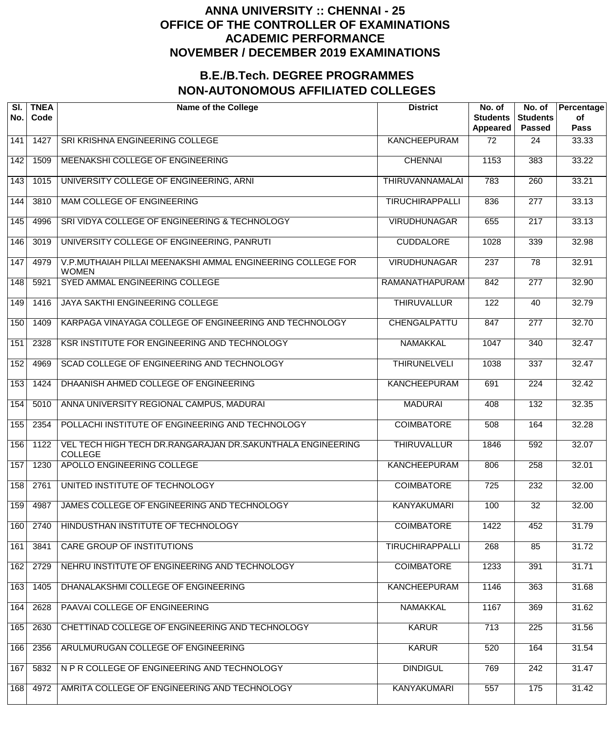| SI.<br>No. | <b>TNEA</b><br>Code | <b>Name of the College</b>                                                   | <b>District</b>        | No. of<br><b>Students</b><br><b>Appeared</b> | No. of<br><b>Students</b><br><b>Passed</b> | Percentage<br>of<br><b>Pass</b> |
|------------|---------------------|------------------------------------------------------------------------------|------------------------|----------------------------------------------|--------------------------------------------|---------------------------------|
| 141        | 1427                | SRI KRISHNA ENGINEERING COLLEGE                                              | <b>KANCHEEPURAM</b>    | 72                                           | 24                                         | 33.33                           |
| 142        | 1509                | MEENAKSHI COLLEGE OF ENGINEERING                                             | <b>CHENNAI</b>         | 1153                                         | 383                                        | 33.22                           |
| 143        | 1015                | UNIVERSITY COLLEGE OF ENGINEERING, ARNI                                      | <b>THIRUVANNAMALAI</b> | 783                                          | 260                                        | 33.21                           |
| 144        | 3810                | <b>MAM COLLEGE OF ENGINEERING</b>                                            | <b>TIRUCHIRAPPALLI</b> | 836                                          | $\overline{277}$                           | 33.13                           |
| 145        | 4996                | SRI VIDYA COLLEGE OF ENGINEERING & TECHNOLOGY                                | <b>VIRUDHUNAGAR</b>    | 655                                          | $\overline{217}$                           | 33.13                           |
| 146        | 3019                | UNIVERSITY COLLEGE OF ENGINEERING, PANRUTI                                   | <b>CUDDALORE</b>       | 1028                                         | 339                                        | 32.98                           |
| 147        | 4979                | V.P.MUTHAIAH PILLAI MEENAKSHI AMMAL ENGINEERING COLLEGE FOR<br><b>WOMEN</b>  | <b>VIRUDHUNAGAR</b>    | $\overline{237}$                             | 78                                         | 32.91                           |
| 148        | 5921                | SYED AMMAL ENGINEERING COLLEGE                                               | <b>RAMANATHAPURAM</b>  | 842                                          | $\overline{277}$                           | 32.90                           |
| 149        | 1416                | JAYA SAKTHI ENGINEERING COLLEGE                                              | <b>THIRUVALLUR</b>     | 122                                          | 40                                         | 32.79                           |
| 150        | 1409                | KARPAGA VINAYAGA COLLEGE OF ENGINEERING AND TECHNOLOGY                       | CHENGALPATTU           | 847                                          | $\overline{277}$                           | 32.70                           |
| 151        | 2328                | KSR INSTITUTE FOR ENGINEERING AND TECHNOLOGY                                 | <b>NAMAKKAL</b>        | 1047                                         | $\overline{340}$                           | 32.47                           |
| 152        | 4969                | SCAD COLLEGE OF ENGINEERING AND TECHNOLOGY                                   | <b>THIRUNELVELI</b>    | 1038                                         | $\overline{337}$                           | 32.47                           |
| 153        | 1424                | DHAANISH AHMED COLLEGE OF ENGINEERING                                        | <b>KANCHEEPURAM</b>    | 691                                          | $\overline{224}$                           | 32.42                           |
| 154        | 5010                | ANNA UNIVERSITY REGIONAL CAMPUS, MADURAI                                     | <b>MADURAI</b>         | 408                                          | 132                                        | 32.35                           |
| 155        | 2354                | POLLACHI INSTITUTE OF ENGINEERING AND TECHNOLOGY                             | <b>COIMBATORE</b>      | 508                                          | 164                                        | 32.28                           |
| 156        | 1122                | VEL TECH HIGH TECH DR.RANGARAJAN DR.SAKUNTHALA ENGINEERING<br><b>COLLEGE</b> | <b>THIRUVALLUR</b>     | 1846                                         | 592                                        | 32.07                           |
| 157        | 1230                | <b>APOLLO ENGINEERING COLLEGE</b>                                            | <b>KANCHEEPURAM</b>    | 806                                          | 258                                        | 32.01                           |
| 158        | 2761                | UNITED INSTITUTE OF TECHNOLOGY                                               | <b>COIMBATORE</b>      | 725                                          | 232                                        | 32.00                           |
| 159        | 4987                | JAMES COLLEGE OF ENGINEERING AND TECHNOLOGY                                  | <b>KANYAKUMARI</b>     | 100                                          | $\overline{32}$                            | 32.00                           |
| 160        | 2740                | HINDUSTHAN INSTITUTE OF TECHNOLOGY                                           | <b>COIMBATORE</b>      | 1422                                         | 452                                        | 31.79                           |
| 161        | 3841                | <b>CARE GROUP OF INSTITUTIONS</b>                                            | <b>TIRUCHIRAPPALLI</b> | 268                                          | 85                                         | 31.72                           |
| 162        | 2729                | NEHRU INSTITUTE OF ENGINEERING AND TECHNOLOGY                                | <b>COIMBATORE</b>      | 1233                                         | 391                                        | 31.71                           |
| 163        | 1405                | DHANALAKSHMI COLLEGE OF ENGINEERING                                          | <b>KANCHEEPURAM</b>    | 1146                                         | 363                                        | 31.68                           |
| 164        | 2628                | PAAVAI COLLEGE OF ENGINEERING                                                | <b>NAMAKKAL</b>        | 1167                                         | 369                                        | 31.62                           |
| 165        | 2630                | CHETTINAD COLLEGE OF ENGINEERING AND TECHNOLOGY                              | <b>KARUR</b>           | 713                                          | 225                                        | 31.56                           |
| 166        | 2356                | ARULMURUGAN COLLEGE OF ENGINEERING                                           | <b>KARUR</b>           | 520                                          | 164                                        | 31.54                           |
| 167        | 5832                | N P R COLLEGE OF ENGINEERING AND TECHNOLOGY                                  | <b>DINDIGUL</b>        | 769                                          | 242                                        | 31.47                           |
| 168        | 4972                | AMRITA COLLEGE OF ENGINEERING AND TECHNOLOGY                                 | <b>KANYAKUMARI</b>     | 557                                          | 175                                        | 31.42                           |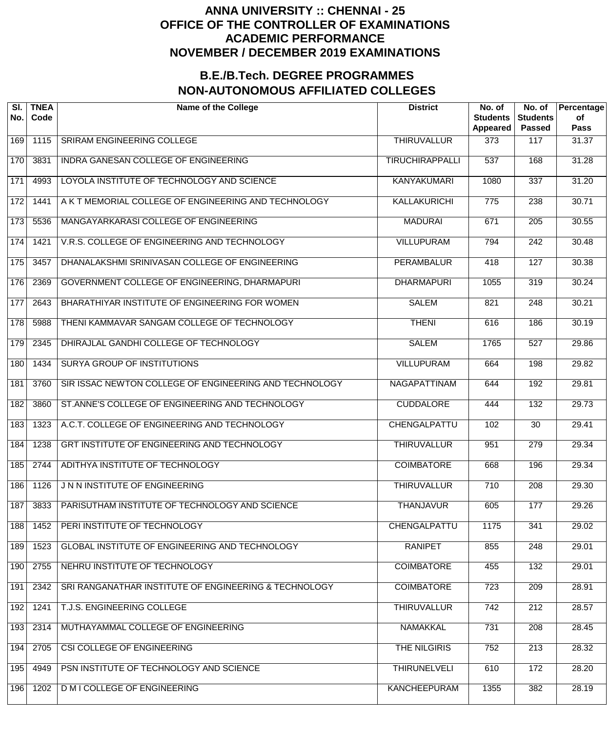| SI.<br>No.       | <b>TNEA</b><br>Code | <b>Name of the College</b>                             | <b>District</b>        | No. of<br><b>Students</b><br>Appeared | No. of<br><b>Students</b><br><b>Passed</b> | Percentage<br>of<br><b>Pass</b> |
|------------------|---------------------|--------------------------------------------------------|------------------------|---------------------------------------|--------------------------------------------|---------------------------------|
| 169              | 1115                | SRIRAM ENGINEERING COLLEGE                             | <b>THIRUVALLUR</b>     | 373                                   | 117                                        | 31.37                           |
| 170              | 3831                | <b>INDRA GANESAN COLLEGE OF ENGINEERING</b>            | <b>TIRUCHIRAPPALLI</b> | $\overline{537}$                      | 168                                        | 31.28                           |
| $\overline{171}$ | 4993                | LOYOLA INSTITUTE OF TECHNOLOGY AND SCIENCE             | KANYAKUMARI            | 1080                                  | 337                                        | 31.20                           |
| 172              | 1441                | A K T MEMORIAL COLLEGE OF ENGINEERING AND TECHNOLOGY   | KALLAKURICHI           | $\overline{775}$                      | 238                                        | 30.71                           |
| 173              | 5536                | MANGAYARKARASI COLLEGE OF ENGINEERING                  | <b>MADURAI</b>         | 671                                   | 205                                        | 30.55                           |
| 174              | 1421                | V.R.S. COLLEGE OF ENGINEERING AND TECHNOLOGY           | <b>VILLUPURAM</b>      | 794                                   | $\overline{242}$                           | 30.48                           |
| 175              | 3457                | DHANALAKSHMI SRINIVASAN COLLEGE OF ENGINEERING         | <b>PERAMBALUR</b>      | 418                                   | $\overline{127}$                           | 30.38                           |
| 176              | 2369                | GOVERNMENT COLLEGE OF ENGINEERING, DHARMAPURI          | <b>DHARMAPURI</b>      | 1055                                  | 319                                        | 30.24                           |
| 177              | 2643                | BHARATHIYAR INSTITUTE OF ENGINEERING FOR WOMEN         | <b>SALEM</b>           | 821                                   | 248                                        | 30.21                           |
| 178              | 5988                | THENI KAMMAVAR SANGAM COLLEGE OF TECHNOLOGY            | <b>THENI</b>           | 616                                   | 186                                        | 30.19                           |
| 179              | 2345                | DHIRAJLAL GANDHI COLLEGE OF TECHNOLOGY                 | <b>SALEM</b>           | 1765                                  | $\overline{527}$                           | 29.86                           |
| 180              | 1434                | <b>SURYA GROUP OF INSTITUTIONS</b>                     | <b>VILLUPURAM</b>      | 664                                   | 198                                        | 29.82                           |
| 181              | 3760                | SIR ISSAC NEWTON COLLEGE OF ENGINEERING AND TECHNOLOGY | NAGAPATTINAM           | 644                                   | 192                                        | 29.81                           |
| 182              | 3860                | ST.ANNE'S COLLEGE OF ENGINEERING AND TECHNOLOGY        | <b>CUDDALORE</b>       | 444                                   | 132                                        | 29.73                           |
| 183              | 1323                | A.C.T. COLLEGE OF ENGINEERING AND TECHNOLOGY           | CHENGALPATTU           | 102                                   | $\overline{30}$                            | 29.41                           |
| 184              | 1238                | GRT INSTITUTE OF ENGINEERING AND TECHNOLOGY            | <b>THIRUVALLUR</b>     | 951                                   | 279                                        | 29.34                           |
| 185              | 2744                | ADITHYA INSTITUTE OF TECHNOLOGY                        | <b>COIMBATORE</b>      | 668                                   | 196                                        | 29.34                           |
| 186              | 1126                | J N N INSTITUTE OF ENGINEERING                         | <b>THIRUVALLUR</b>     | 710                                   | 208                                        | 29.30                           |
| 187              | 3833                | PARISUTHAM INSTITUTE OF TECHNOLOGY AND SCIENCE         | <b>THANJAVUR</b>       | 605                                   | 177                                        | 29.26                           |
| 188              | 1452                | PERI INSTITUTE OF TECHNOLOGY                           | CHENGALPATTU           | 1175                                  | 341                                        | 29.02                           |
| 189              | 1523                | GLOBAL INSTITUTE OF ENGINEERING AND TECHNOLOGY         | <b>RANIPET</b>         | 855                                   | 248                                        | 29.01                           |
| 190              | 2755                | NEHRU INSTITUTE OF TECHNOLOGY                          | <b>COIMBATORE</b>      | 455                                   | 132                                        | 29.01                           |
| 191              | 2342                | SRI RANGANATHAR INSTITUTE OF ENGINEERING & TECHNOLOGY  | <b>COIMBATORE</b>      | 723                                   | 209                                        | 28.91                           |
| 192              | 1241                | T.J.S. ENGINEERING COLLEGE                             | <b>THIRUVALLUR</b>     | 742                                   | 212                                        | 28.57                           |
| 193              | 2314                | MUTHAYAMMAL COLLEGE OF ENGINEERING                     | <b>NAMAKKAL</b>        | 731                                   | $\overline{208}$                           | 28.45                           |
| 194              | 2705                | CSI COLLEGE OF ENGINEERING                             | THE NILGIRIS           | 752                                   | 213                                        | 28.32                           |
| 195              | 4949                | PSN INSTITUTE OF TECHNOLOGY AND SCIENCE                | <b>THIRUNELVELI</b>    | 610                                   | 172                                        | 28.20                           |
| 196              | 1202                | <b>D M I COLLEGE OF ENGINEERING</b>                    | <b>KANCHEEPURAM</b>    | 1355                                  | 382                                        | 28.19                           |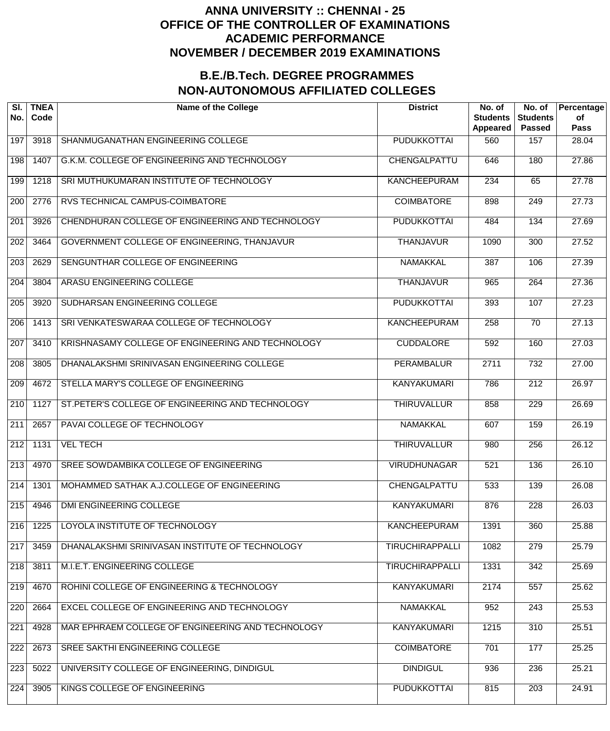| SI.<br>No.       | <b>TNEA</b><br>Code | <b>Name of the College</b>                        | <b>District</b>        | No. of<br><b>Students</b><br>Appeared | No. of<br><b>Students</b><br><b>Passed</b> | Percentage<br>of<br><b>Pass</b> |
|------------------|---------------------|---------------------------------------------------|------------------------|---------------------------------------|--------------------------------------------|---------------------------------|
| 197              | 3918                | SHANMUGANATHAN ENGINEERING COLLEGE                | <b>PUDUKKOTTAI</b>     | 560                                   | 157                                        | 28.04                           |
| 198              | 1407                | G.K.M. COLLEGE OF ENGINEERING AND TECHNOLOGY      | CHENGALPATTU           | 646                                   | 180                                        | 27.86                           |
| 199              | 1218                | SRI MUTHUKUMARAN INSTITUTE OF TECHNOLOGY          | <b>KANCHEEPURAM</b>    | 234                                   | 65                                         | 27.78                           |
| 200              | 2776                | RVS TECHNICAL CAMPUS-COIMBATORE                   | <b>COIMBATORE</b>      | 898                                   | $\overline{249}$                           | 27.73                           |
| 201              | 3926                | CHENDHURAN COLLEGE OF ENGINEERING AND TECHNOLOGY  | <b>PUDUKKOTTAI</b>     | 484                                   | 134                                        | 27.69                           |
| 202              | 3464                | GOVERNMENT COLLEGE OF ENGINEERING, THANJAVUR      | <b>THANJAVUR</b>       | 1090                                  | $\overline{300}$                           | 27.52                           |
| 203              | 2629                | SENGUNTHAR COLLEGE OF ENGINEERING                 | <b>NAMAKKAL</b>        | 387                                   | 106                                        | 27.39                           |
| $\overline{204}$ | 3804                | ARASU ENGINEERING COLLEGE                         | <b>THANJAVUR</b>       | 965                                   | 264                                        | 27.36                           |
| $\overline{205}$ | 3920                | SUDHARSAN ENGINEERING COLLEGE                     | <b>PUDUKKOTTAI</b>     | 393                                   | 107                                        | 27.23                           |
| $\overline{206}$ | 1413                | SRI VENKATESWARAA COLLEGE OF TECHNOLOGY           | <b>KANCHEEPURAM</b>    | 258                                   | $\overline{70}$                            | 27.13                           |
| 207              | 3410                | KRISHNASAMY COLLEGE OF ENGINEERING AND TECHNOLOGY | <b>CUDDALORE</b>       | 592                                   | 160                                        | 27.03                           |
| $\overline{208}$ | 3805                | DHANALAKSHMI SRINIVASAN ENGINEERING COLLEGE       | <b>PERAMBALUR</b>      | 2711                                  | 732                                        | 27.00                           |
| $\overline{209}$ | 4672                | STELLA MARY'S COLLEGE OF ENGINEERING              | <b>KANYAKUMARI</b>     | 786                                   | $\overline{212}$                           | 26.97                           |
| $\overline{210}$ | 1127                | ST.PETER'S COLLEGE OF ENGINEERING AND TECHNOLOGY  | <b>THIRUVALLUR</b>     | 858                                   | $\overline{229}$                           | 26.69                           |
| $\overline{211}$ | 2657                | PAVAI COLLEGE OF TECHNOLOGY                       | <b>NAMAKKAL</b>        | 607                                   | 159                                        | 26.19                           |
| 212              | 1131                | <b>VEL TECH</b>                                   | <b>THIRUVALLUR</b>     | 980                                   | 256                                        | 26.12                           |
| $\overline{213}$ | 4970                | SREE SOWDAMBIKA COLLEGE OF ENGINEERING            | <b>VIRUDHUNAGAR</b>    | 521                                   | 136                                        | 26.10                           |
| $\overline{214}$ | 1301                | MOHAMMED SATHAK A.J.COLLEGE OF ENGINEERING        | CHENGALPATTU           | 533                                   | 139                                        | 26.08                           |
| 215              | 4946                | DMI ENGINEERING COLLEGE                           | <b>KANYAKUMARI</b>     | 876                                   | 228                                        | 26.03                           |
| 216              | 1225                | LOYOLA INSTITUTE OF TECHNOLOGY                    | <b>KANCHEEPURAM</b>    | 1391                                  | 360                                        | 25.88                           |
| $\overline{217}$ | 3459                | DHANALAKSHMI SRINIVASAN INSTITUTE OF TECHNOLOGY   | <b>TIRUCHIRAPPALLI</b> | 1082                                  | 279                                        | 25.79                           |
| 218              | 3811                | M.I.E.T. ENGINEERING COLLEGE                      | <b>TIRUCHIRAPPALLI</b> | 1331                                  | 342                                        | 25.69                           |
| 219              | 4670                | ROHINI COLLEGE OF ENGINEERING & TECHNOLOGY        | <b>KANYAKUMARI</b>     | 2174                                  | 557                                        | 25.62                           |
| 220              | 2664                | EXCEL COLLEGE OF ENGINEERING AND TECHNOLOGY       | <b>NAMAKKAL</b>        | 952                                   | $\overline{243}$                           | 25.53                           |
| 221              | 4928                | MAR EPHRAEM COLLEGE OF ENGINEERING AND TECHNOLOGY | <b>KANYAKUMARI</b>     | 1215                                  | 310                                        | 25.51                           |
| 222              | 2673                | SREE SAKTHI ENGINEERING COLLEGE                   | <b>COIMBATORE</b>      | 701                                   | 177                                        | 25.25                           |
| 223              | 5022                | UNIVERSITY COLLEGE OF ENGINEERING, DINDIGUL       | <b>DINDIGUL</b>        | 936                                   | 236                                        | 25.21                           |
| 224              | 3905                | KINGS COLLEGE OF ENGINEERING                      | <b>PUDUKKOTTAI</b>     | 815                                   | $\overline{203}$                           | 24.91                           |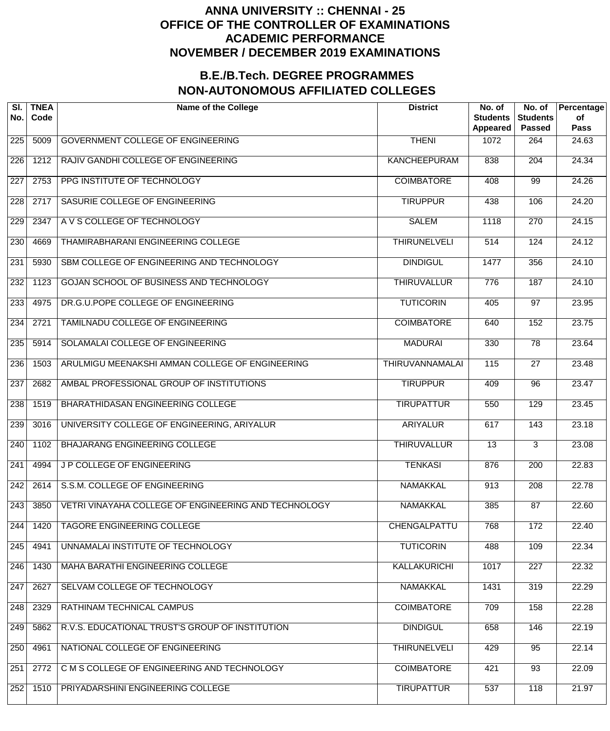| SI.<br>No.       | <b>TNEA</b><br>Code | <b>Name of the College</b>                           | <b>District</b>        | No. of<br><b>Students</b><br>Appeared | No. of<br><b>Students</b><br><b>Passed</b> | Percentage<br>of<br><b>Pass</b> |
|------------------|---------------------|------------------------------------------------------|------------------------|---------------------------------------|--------------------------------------------|---------------------------------|
| $\overline{225}$ | 5009                | <b>GOVERNMENT COLLEGE OF ENGINEERING</b>             | <b>THENI</b>           | 1072                                  | 264                                        | 24.63                           |
| $\overline{226}$ | 1212                | RAJIV GANDHI COLLEGE OF ENGINEERING                  | <b>KANCHEEPURAM</b>    | 838                                   | 204                                        | 24.34                           |
| $\overline{227}$ | 2753                | PPG INSTITUTE OF TECHNOLOGY                          | <b>COIMBATORE</b>      | 408                                   | $\overline{99}$                            | 24.26                           |
| 228              | 2717                | SASURIE COLLEGE OF ENGINEERING                       | <b>TIRUPPUR</b>        | 438                                   | 106                                        | 24.20                           |
| 229              | 2347                | A V S COLLEGE OF TECHNOLOGY                          | <b>SALEM</b>           | 1118                                  | 270                                        | 24.15                           |
| 230              | 4669                | THAMIRABHARANI ENGINEERING COLLEGE                   | <b>THIRUNELVELI</b>    | $\overline{514}$                      | 124                                        | 24.12                           |
| $\overline{231}$ | 5930                | SBM COLLEGE OF ENGINEERING AND TECHNOLOGY            | <b>DINDIGUL</b>        | 1477                                  | 356                                        | 24.10                           |
| 232              | 1123                | GOJAN SCHOOL OF BUSINESS AND TECHNOLOGY              | <b>THIRUVALLUR</b>     | 776                                   | 187                                        | 24.10                           |
| 233              | 4975                | DR.G.U.POPE COLLEGE OF ENGINEERING                   | <b>TUTICORIN</b>       | 405                                   | 97                                         | 23.95                           |
| 234              | 2721                | <b>TAMILNADU COLLEGE OF ENGINEERING</b>              | <b>COIMBATORE</b>      | 640                                   | 152                                        | 23.75                           |
| 235              | 5914                | SOLAMALAI COLLEGE OF ENGINEERING                     | <b>MADURAI</b>         | 330                                   | $\overline{78}$                            | 23.64                           |
| 236              | 1503                | ARULMIGU MEENAKSHI AMMAN COLLEGE OF ENGINEERING      | <b>THIRUVANNAMALAI</b> | 115                                   | $\overline{27}$                            | 23.48                           |
| $\overline{237}$ | 2682                | AMBAL PROFESSIONAL GROUP OF INSTITUTIONS             | <b>TIRUPPUR</b>        | 409                                   | $\overline{96}$                            | 23.47                           |
| 238              | 1519                | BHARATHIDASAN ENGINEERING COLLEGE                    | <b>TIRUPATTUR</b>      | 550                                   | 129                                        | 23.45                           |
| 239              | 3016                | UNIVERSITY COLLEGE OF ENGINEERING, ARIYALUR          | <b>ARIYALUR</b>        | 617                                   | 143                                        | 23.18                           |
| 240              | 1102                | <b>BHAJARANG ENGINEERING COLLEGE</b>                 | <b>THIRUVALLUR</b>     | $\overline{13}$                       | $\overline{3}$                             | 23.08                           |
| 241              | 4994                | J P COLLEGE OF ENGINEERING                           | <b>TENKASI</b>         | 876                                   | $\overline{200}$                           | 22.83                           |
| 242              | 2614                | S.S.M. COLLEGE OF ENGINEERING                        | <b>NAMAKKAL</b>        | 913                                   | 208                                        | 22.78                           |
| 243              | 3850                | VETRI VINAYAHA COLLEGE OF ENGINEERING AND TECHNOLOGY | <b>NAMAKKAL</b>        | 385                                   | 87                                         | 22.60                           |
| 244              | 1420                | <b>TAGORE ENGINEERING COLLEGE</b>                    | CHENGALPATTU           | 768                                   | 172                                        | 22.40                           |
| 245              | 4941                | UNNAMALAI INSTITUTE OF TECHNOLOGY                    | <b>TUTICORIN</b>       | 488                                   | 109                                        | 22.34                           |
| 246              | 1430                | <b>MAHA BARATHI ENGINEERING COLLEGE</b>              | KALLAKURICHI           | 1017                                  | $\overline{227}$                           | 22.32                           |
| 247              | 2627                | SELVAM COLLEGE OF TECHNOLOGY                         | <b>NAMAKKAL</b>        | 1431                                  | 319                                        | 22.29                           |
| 248              | 2329                | RATHINAM TECHNICAL CAMPUS                            | <b>COIMBATORE</b>      | 709                                   | 158                                        | 22.28                           |
| 249              | 5862                | R.V.S. EDUCATIONAL TRUST'S GROUP OF INSTITUTION      | <b>DINDIGUL</b>        | 658                                   | 146                                        | 22.19                           |
| 250              | 4961                | NATIONAL COLLEGE OF ENGINEERING                      | <b>THIRUNELVELI</b>    | 429                                   | $\overline{95}$                            | 22.14                           |
| 251              | 2772                | C M S COLLEGE OF ENGINEERING AND TECHNOLOGY          | <b>COIMBATORE</b>      | 421                                   | $\overline{93}$                            | 22.09                           |
| 252              | 1510                | PRIYADARSHINI ENGINEERING COLLEGE                    | <b>TIRUPATTUR</b>      | 537                                   | $\overline{118}$                           | 21.97                           |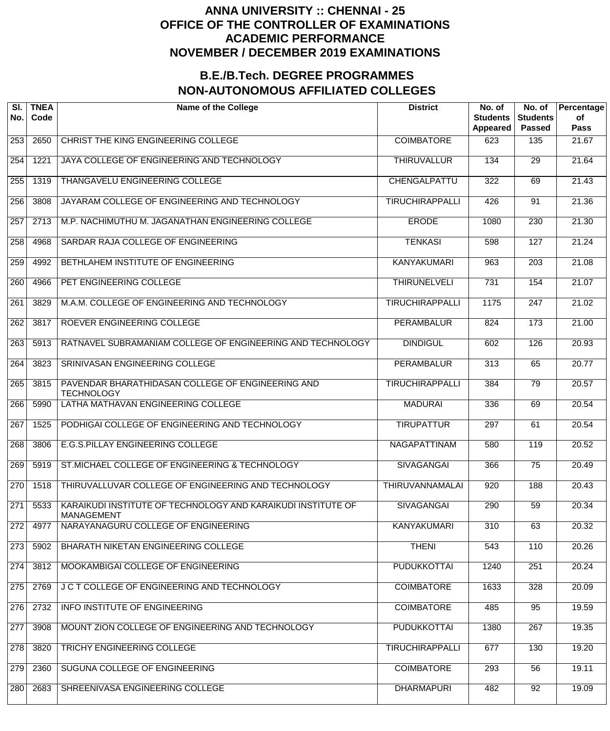| SI.<br>No.       | <b>TNEA</b><br>Code | <b>Name of the College</b>                                                        | <b>District</b>        | No. of<br><b>Students</b><br>Appeared | No. of<br><b>Students</b><br><b>Passed</b> | Percentage<br>of<br><b>Pass</b> |
|------------------|---------------------|-----------------------------------------------------------------------------------|------------------------|---------------------------------------|--------------------------------------------|---------------------------------|
| 253              | 2650                | CHRIST THE KING ENGINEERING COLLEGE                                               | <b>COIMBATORE</b>      | 623                                   | 135                                        | 21.67                           |
| 254              | 1221                | JAYA COLLEGE OF ENGINEERING AND TECHNOLOGY                                        | <b>THIRUVALLUR</b>     | 134                                   | 29                                         | 21.64                           |
| $\overline{255}$ | 1319                | THANGAVELU ENGINEERING COLLEGE                                                    | CHENGALPATTU           | 322                                   | 69                                         | 21.43                           |
| 256              | 3808                | JAYARAM COLLEGE OF ENGINEERING AND TECHNOLOGY                                     | <b>TIRUCHIRAPPALLI</b> | 426                                   | 91                                         | 21.36                           |
| 257              | 2713                | M.P. NACHIMUTHU M. JAGANATHAN ENGINEERING COLLEGE                                 | <b>ERODE</b>           | 1080                                  | $\overline{230}$                           | 21.30                           |
| 258              | 4968                | SARDAR RAJA COLLEGE OF ENGINEERING                                                | <b>TENKASI</b>         | 598                                   | $\overline{127}$                           | 21.24                           |
| 259              | 4992                | BETHLAHEM INSTITUTE OF ENGINEERING                                                | <b>KANYAKUMARI</b>     | 963                                   | $\overline{203}$                           | 21.08                           |
| 260              | 4966                | PET ENGINEERING COLLEGE                                                           | <b>THIRUNELVELI</b>    | $\overline{731}$                      | 154                                        | 21.07                           |
| 261              | 3829                | M.A.M. COLLEGE OF ENGINEERING AND TECHNOLOGY                                      | <b>TIRUCHIRAPPALLI</b> | 1175                                  | $\overline{247}$                           | 21.02                           |
| 262              | 3817                | ROEVER ENGINEERING COLLEGE                                                        | <b>PERAMBALUR</b>      | 824                                   | $\overline{173}$                           | 21.00                           |
| 263              | 5913                | RATNAVEL SUBRAMANIAM COLLEGE OF ENGINEERING AND TECHNOLOGY                        | <b>DINDIGUL</b>        | 602                                   | 126                                        | 20.93                           |
| $\overline{264}$ | 3823                | SRINIVASAN ENGINEERING COLLEGE                                                    | <b>PERAMBALUR</b>      | $\overline{313}$                      | 65                                         | 20.77                           |
| 265              | 3815                | PAVENDAR BHARATHIDASAN COLLEGE OF ENGINEERING AND<br><b>TECHNOLOGY</b>            | <b>TIRUCHIRAPPALLI</b> | 384                                   | 79                                         | 20.57                           |
| 266              | 5990                | LATHA MATHAVAN ENGINEERING COLLEGE                                                | <b>MADURAI</b>         | 336                                   | 69                                         | 20.54                           |
| 267              | 1525                | PODHIGAI COLLEGE OF ENGINEERING AND TECHNOLOGY                                    | <b>TIRUPATTUR</b>      | 297                                   | 61                                         | 20.54                           |
| 268              | 3806                | E.G.S.PILLAY ENGINEERING COLLEGE                                                  | NAGAPATTINAM           | 580                                   | 119                                        | 20.52                           |
| 269              | 5919                | ST. MICHAEL COLLEGE OF ENGINEERING & TECHNOLOGY                                   | <b>SIVAGANGAI</b>      | 366                                   | $\overline{75}$                            | 20.49                           |
| 270              | 1518                | THIRUVALLUVAR COLLEGE OF ENGINEERING AND TECHNOLOGY                               | <b>THIRUVANNAMALAI</b> | 920                                   | 188                                        | 20.43                           |
| 271              | 5533                | KARAIKUDI INSTITUTE OF TECHNOLOGY AND KARAIKUDI INSTITUTE OF<br><b>MANAGEMENT</b> | <b>SIVAGANGAI</b>      | 290                                   | $\overline{59}$                            | 20.34                           |
| 272              | 4977                | NARAYANAGURU COLLEGE OF ENGINEERING                                               | <b>KANYAKUMARI</b>     | 310                                   | 63                                         | 20.32                           |
| 273              | 5902                | BHARATH NIKETAN ENGINEERING COLLEGE                                               | <b>THENI</b>           | 543                                   | 110                                        | 20.26                           |
| 274              | 3812                | MOOKAMBIGAI COLLEGE OF ENGINEERING                                                | <b>PUDUKKOTTAI</b>     | 1240                                  | 251                                        | 20.24                           |
| 275              | 2769                | J C T COLLEGE OF ENGINEERING AND TECHNOLOGY                                       | <b>COIMBATORE</b>      | 1633                                  | 328                                        | 20.09                           |
| 276              | 2732                | INFO INSTITUTE OF ENGINEERING                                                     | <b>COIMBATORE</b>      | 485                                   | 95                                         | 19.59                           |
| 277              | 3908                | MOUNT ZION COLLEGE OF ENGINEERING AND TECHNOLOGY                                  | <b>PUDUKKOTTAI</b>     | 1380                                  | 267                                        | 19.35                           |
| 278              | 3820                | TRICHY ENGINEERING COLLEGE                                                        | <b>TIRUCHIRAPPALLI</b> | 677                                   | 130                                        | 19.20                           |
| 279              | 2360                | SUGUNA COLLEGE OF ENGINEERING                                                     | <b>COIMBATORE</b>      | 293                                   | 56                                         | 19.11                           |
| 280              | 2683                | SHREENIVASA ENGINEERING COLLEGE                                                   | <b>DHARMAPURI</b>      | 482                                   | 92                                         | 19.09                           |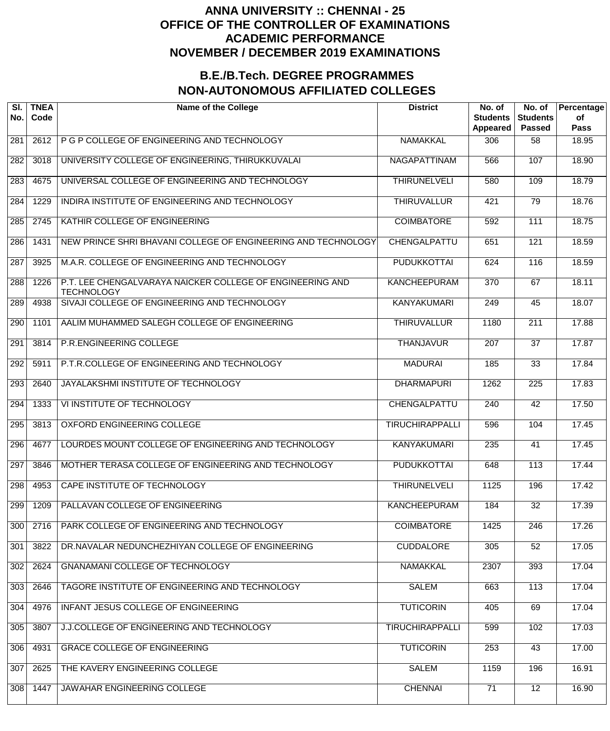| SI.<br>No.       | <b>TNEA</b><br>Code | <b>Name of the College</b>                                                     | <b>District</b>        | No. of<br><b>Students</b><br>Appeared | No. of<br><b>Students</b><br><b>Passed</b> | Percentage<br>of<br><b>Pass</b> |
|------------------|---------------------|--------------------------------------------------------------------------------|------------------------|---------------------------------------|--------------------------------------------|---------------------------------|
| 281              | 2612                | P G P COLLEGE OF ENGINEERING AND TECHNOLOGY                                    | <b>NAMAKKAL</b>        | 306                                   | 58                                         | 18.95                           |
| 282              | 3018                | UNIVERSITY COLLEGE OF ENGINEERING, THIRUKKUVALAI                               | <b>NAGAPATTINAM</b>    | 566                                   | 107                                        | 18.90                           |
| 283              | 4675                | UNIVERSAL COLLEGE OF ENGINEERING AND TECHNOLOGY                                | <b>THIRUNELVELI</b>    | 580                                   | 109                                        | 18.79                           |
| 284              | 1229                | INDIRA INSTITUTE OF ENGINEERING AND TECHNOLOGY                                 | <b>THIRUVALLUR</b>     | 421                                   | 79                                         | 18.76                           |
| 285              | 2745                | KATHIR COLLEGE OF ENGINEERING                                                  | <b>COIMBATORE</b>      | 592                                   | 111                                        | 18.75                           |
| 286              | 1431                | NEW PRINCE SHRI BHAVANI COLLEGE OF ENGINEERING AND TECHNOLOGY                  | CHENGALPATTU           | 651                                   | 121                                        | 18.59                           |
| 287              | 3925                | M.A.R. COLLEGE OF ENGINEERING AND TECHNOLOGY                                   | <b>PUDUKKOTTAI</b>     | 624                                   | 116                                        | 18.59                           |
| 288              | 1226                | P.T. LEE CHENGALVARAYA NAICKER COLLEGE OF ENGINEERING AND<br><b>TECHNOLOGY</b> | <b>KANCHEEPURAM</b>    | $\overline{370}$                      | 67                                         | 18.11                           |
| 289              | 4938                | SIVAJI COLLEGE OF ENGINEERING AND TECHNOLOGY                                   | <b>KANYAKUMARI</b>     | 249                                   | $\overline{45}$                            | 18.07                           |
| 290              | 1101                | AALIM MUHAMMED SALEGH COLLEGE OF ENGINEERING                                   | <b>THIRUVALLUR</b>     | 1180                                  | $\overline{211}$                           | 17.88                           |
| $\overline{291}$ | 3814                | P.R.ENGINEERING COLLEGE                                                        | <b>THANJAVUR</b>       | 207                                   | $\overline{37}$                            | 17.87                           |
| 292              | 5911                | P.T.R.COLLEGE OF ENGINEERING AND TECHNOLOGY                                    | <b>MADURAI</b>         | 185                                   | $\overline{33}$                            | 17.84                           |
| 293              | 2640                | JAYALAKSHMI INSTITUTE OF TECHNOLOGY                                            | <b>DHARMAPURI</b>      | 1262                                  | 225                                        | 17.83                           |
| 294              | 1333                | VI INSTITUTE OF TECHNOLOGY                                                     | CHENGALPATTU           | 240                                   | $\overline{42}$                            | 17.50                           |
| 295              | 3813                | OXFORD ENGINEERING COLLEGE                                                     | <b>TIRUCHIRAPPALLI</b> | 596                                   | 104                                        | 17.45                           |
| 296              | 4677                | LOURDES MOUNT COLLEGE OF ENGINEERING AND TECHNOLOGY                            | <b>KANYAKUMARI</b>     | 235                                   | 41                                         | 17.45                           |
| 297              | 3846                | MOTHER TERASA COLLEGE OF ENGINEERING AND TECHNOLOGY                            | <b>PUDUKKOTTAI</b>     | 648                                   | $\overline{113}$                           | 17.44                           |
| 298              | 4953                | CAPE INSTITUTE OF TECHNOLOGY                                                   | <b>THIRUNELVELI</b>    | 1125                                  | 196                                        | 17.42                           |
| 299              | 1209                | PALLAVAN COLLEGE OF ENGINEERING                                                | <b>KANCHEEPURAM</b>    | 184                                   | $\overline{32}$                            | 17.39                           |
| 300              | 2716                | PARK COLLEGE OF ENGINEERING AND TECHNOLOGY                                     | <b>COIMBATORE</b>      | 1425                                  | 246                                        | 17.26                           |
| 301              | 3822                | DR.NAVALAR NEDUNCHEZHIYAN COLLEGE OF ENGINEERING                               | <b>CUDDALORE</b>       | 305                                   | $\overline{52}$                            | 17.05                           |
| 302              | 2624                | <b>GNANAMANI COLLEGE OF TECHNOLOGY</b>                                         | <b>NAMAKKAL</b>        | 2307                                  | 393                                        | 17.04                           |
| 303              | 2646                | TAGORE INSTITUTE OF ENGINEERING AND TECHNOLOGY                                 | <b>SALEM</b>           | 663                                   | $\overline{113}$                           | 17.04                           |
| 304              | 4976                | INFANT JESUS COLLEGE OF ENGINEERING                                            | <b>TUTICORIN</b>       | 405                                   | 69                                         | 17.04                           |
| 305              | 3807                | J.J.COLLEGE OF ENGINEERING AND TECHNOLOGY                                      | <b>TIRUCHIRAPPALLI</b> | 599                                   | 102                                        | 17.03                           |
| 306              | 4931                | <b>GRACE COLLEGE OF ENGINEERING</b>                                            | <b>TUTICORIN</b>       | 253                                   | 43                                         | 17.00                           |
| 307              | 2625                | THE KAVERY ENGINEERING COLLEGE                                                 | <b>SALEM</b>           | 1159                                  | 196                                        | 16.91                           |
| 308              | 1447                | JAWAHAR ENGINEERING COLLEGE                                                    | <b>CHENNAI</b>         | 71                                    | $\overline{12}$                            | 16.90                           |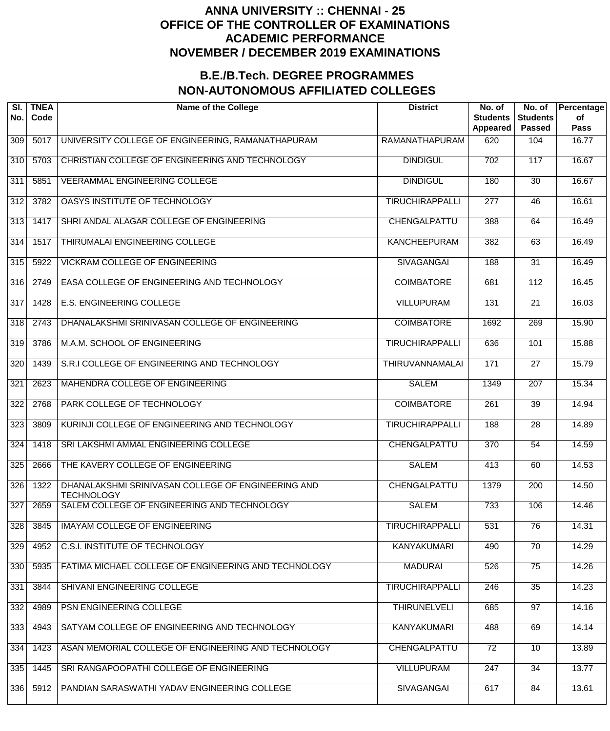| SI.<br>No.       | <b>TNEA</b><br>Code | <b>Name of the College</b>                                              | <b>District</b>        | No. of<br><b>Students</b><br>Appeared | No. of<br><b>Students</b><br><b>Passed</b> | Percentage<br>of<br><b>Pass</b> |
|------------------|---------------------|-------------------------------------------------------------------------|------------------------|---------------------------------------|--------------------------------------------|---------------------------------|
| 309              | 5017                | UNIVERSITY COLLEGE OF ENGINEERING, RAMANATHAPURAM                       | <b>RAMANATHAPURAM</b>  | 620                                   | 104                                        | 16.77                           |
| 310              | 5703                | CHRISTIAN COLLEGE OF ENGINEERING AND TECHNOLOGY                         | <b>DINDIGUL</b>        | $\overline{702}$                      | 117                                        | 16.67                           |
| $\overline{311}$ | 5851                | <b>VEERAMMAL ENGINEERING COLLEGE</b>                                    | <b>DINDIGUL</b>        | 180                                   | $\overline{30}$                            | 16.67                           |
| $\overline{312}$ | 3782                | OASYS INSTITUTE OF TECHNOLOGY                                           | <b>TIRUCHIRAPPALLI</b> | $\overline{277}$                      | $\overline{46}$                            | 16.61                           |
| 313              | 1417                | SHRI ANDAL ALAGAR COLLEGE OF ENGINEERING                                | CHENGALPATTU           | 388                                   | 64                                         | 16.49                           |
| $\overline{314}$ | 1517                | THIRUMALAI ENGINEERING COLLEGE                                          | <b>KANCHEEPURAM</b>    | 382                                   | 63                                         | 16.49                           |
| $\overline{315}$ | 5922                | <b>VICKRAM COLLEGE OF ENGINEERING</b>                                   | <b>SIVAGANGAI</b>      | 188                                   | $\overline{31}$                            | 16.49                           |
| 316              | 2749                | EASA COLLEGE OF ENGINEERING AND TECHNOLOGY                              | <b>COIMBATORE</b>      | 681                                   | 112                                        | 16.45                           |
| $\overline{317}$ | 1428                | <b>E.S. ENGINEERING COLLEGE</b>                                         | <b>VILLUPURAM</b>      | 131                                   | $\overline{21}$                            | 16.03                           |
| 318              | 2743                | DHANALAKSHMI SRINIVASAN COLLEGE OF ENGINEERING                          | <b>COIMBATORE</b>      | 1692                                  | 269                                        | 15.90                           |
| 319              | 3786                | M.A.M. SCHOOL OF ENGINEERING                                            | <b>TIRUCHIRAPPALLI</b> | 636                                   | 101                                        | 15.88                           |
| $\overline{320}$ | 1439                | S.R.I COLLEGE OF ENGINEERING AND TECHNOLOGY                             | <b>THIRUVANNAMALAI</b> | $\frac{1}{171}$                       | $\overline{27}$                            | 15.79                           |
| 321              | 2623                | MAHENDRA COLLEGE OF ENGINEERING                                         | <b>SALEM</b>           | 1349                                  | $\overline{207}$                           | 15.34                           |
| $\overline{322}$ | 2768                | PARK COLLEGE OF TECHNOLOGY                                              | <b>COIMBATORE</b>      | $\overline{261}$                      | $\overline{39}$                            | 14.94                           |
| 323              | 3809                | KURINJI COLLEGE OF ENGINEERING AND TECHNOLOGY                           | <b>TIRUCHIRAPPALLI</b> | 188                                   | $\overline{28}$                            | 14.89                           |
| 324              | 1418                | SRI LAKSHMI AMMAL ENGINEERING COLLEGE                                   | CHENGALPATTU           | 370                                   | 54                                         | 14.59                           |
| 325              | 2666                | THE KAVERY COLLEGE OF ENGINEERING                                       | <b>SALEM</b>           | 413                                   | 60                                         | 14.53                           |
| 326              | 1322                | DHANALAKSHMI SRINIVASAN COLLEGE OF ENGINEERING AND<br><b>TECHNOLOGY</b> | CHENGALPATTU           | 1379                                  | $\overline{200}$                           | 14.50                           |
| 327              | 2659                | SALEM COLLEGE OF ENGINEERING AND TECHNOLOGY                             | <b>SALEM</b>           | 733                                   | 106                                        | 14.46                           |
| 328              | 3845                | <b>IMAYAM COLLEGE OF ENGINEERING</b>                                    | <b>TIRUCHIRAPPALLI</b> | 531                                   | 76                                         | 14.31                           |
| 329              | 4952                | <b>C.S.I. INSTITUTE OF TECHNOLOGY</b>                                   | <b>KANYAKUMARI</b>     | 490                                   | $\overline{70}$                            | 14.29                           |
| 330              | 5935                | FATIMA MICHAEL COLLEGE OF ENGINEERING AND TECHNOLOGY                    | <b>MADURAI</b>         | 526                                   | $\overline{75}$                            | 14.26                           |
| 331              | 3844                | SHIVANI ENGINEERING COLLEGE                                             | <b>TIRUCHIRAPPALLI</b> | 246                                   | $\overline{35}$                            | 14.23                           |
| 332              | 4989                | PSN ENGINEERING COLLEGE                                                 | <b>THIRUNELVELI</b>    | 685                                   | $\overline{97}$                            | 14.16                           |
| 333              | 4943                | SATYAM COLLEGE OF ENGINEERING AND TECHNOLOGY                            | <b>KANYAKUMARI</b>     | 488                                   | 69                                         | 14.14                           |
| 334              | 1423                | ASAN MEMORIAL COLLEGE OF ENGINEERING AND TECHNOLOGY                     | CHENGALPATTU           | 72                                    | $\overline{10}$                            | 13.89                           |
| 335              | 1445                | SRI RANGAPOOPATHI COLLEGE OF ENGINEERING                                | <b>VILLUPURAM</b>      | 247                                   | $\overline{34}$                            | 13.77                           |
| 336              | 5912                | PANDIAN SARASWATHI YADAV ENGINEERING COLLEGE                            | <b>SIVAGANGAI</b>      | 617                                   | 84                                         | 13.61                           |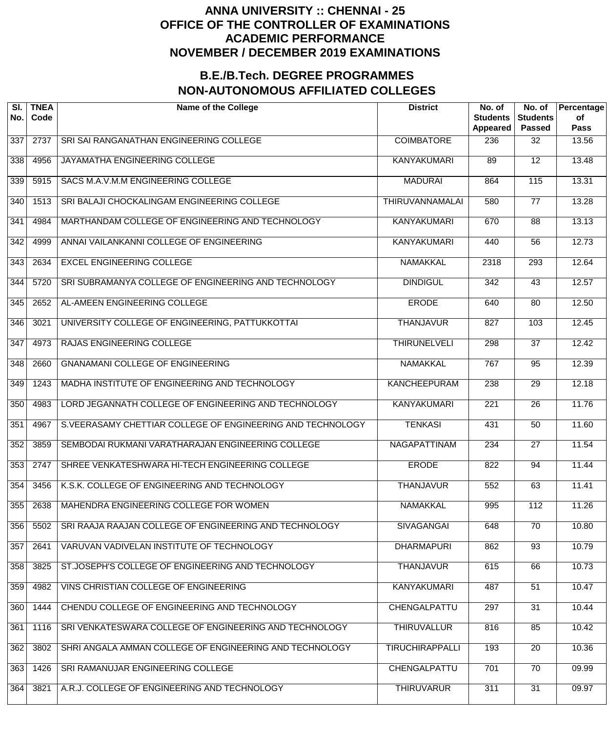| SI.<br>No.       | <b>TNEA</b><br>Code | <b>Name of the College</b>                                 | <b>District</b>        | No. of<br><b>Students</b><br>Appeared | No. of<br><b>Students</b><br><b>Passed</b> | Percentage<br>of<br><b>Pass</b> |
|------------------|---------------------|------------------------------------------------------------|------------------------|---------------------------------------|--------------------------------------------|---------------------------------|
| 337              | 2737                | SRI SAI RANGANATHAN ENGINEERING COLLEGE                    | <b>COIMBATORE</b>      | 236                                   | 32                                         | 13.56                           |
| 338              | 4956                | JAYAMATHA ENGINEERING COLLEGE                              | <b>KANYAKUMARI</b>     | 89                                    | $\overline{12}$                            | 13.48                           |
| 339              | 5915                | SACS M.A.V.M.M ENGINEERING COLLEGE                         | <b>MADURAI</b>         | 864                                   | 115                                        | 13.31                           |
| $\overline{340}$ | 1513                | SRI BALAJI CHOCKALINGAM ENGINEERING COLLEGE                | <b>THIRUVANNAMALAI</b> | 580                                   | $\overline{77}$                            | 13.28                           |
| 341              | 4984                | MARTHANDAM COLLEGE OF ENGINEERING AND TECHNOLOGY           | <b>KANYAKUMARI</b>     | 670                                   | $\overline{88}$                            | 13.13                           |
| 342              | 4999                | ANNAI VAILANKANNI COLLEGE OF ENGINEERING                   | <b>KANYAKUMARI</b>     | 440                                   | $\overline{56}$                            | 12.73                           |
| 343              | 2634                | <b>EXCEL ENGINEERING COLLEGE</b>                           | <b>NAMAKKAL</b>        | 2318                                  | 293                                        | 12.64                           |
| $\overline{344}$ | 5720                | SRI SUBRAMANYA COLLEGE OF ENGINEERING AND TECHNOLOGY       | <b>DINDIGUL</b>        | $\overline{342}$                      | $\overline{43}$                            | 12.57                           |
| 345              | 2652                | AL-AMEEN ENGINEERING COLLEGE                               | <b>ERODE</b>           | 640                                   | $\overline{80}$                            | 12.50                           |
| 346              | 3021                | UNIVERSITY COLLEGE OF ENGINEERING, PATTUKKOTTAI            | <b>THANJAVUR</b>       | 827                                   | 103                                        | 12.45                           |
| $\overline{347}$ | 4973                | <b>RAJAS ENGINEERING COLLEGE</b>                           | <b>THIRUNELVELI</b>    | 298                                   | $\overline{37}$                            | 12.42                           |
| 348              | 2660                | <b>GNANAMANI COLLEGE OF ENGINEERING</b>                    | <b>NAMAKKAL</b>        | 767                                   | $\overline{95}$                            | 12.39                           |
| 349              | 1243                | MADHA INSTITUTE OF ENGINEERING AND TECHNOLOGY              | <b>KANCHEEPURAM</b>    | 238                                   | $\overline{29}$                            | 12.18                           |
| 350              | 4983                | LORD JEGANNATH COLLEGE OF ENGINEERING AND TECHNOLOGY       | <b>KANYAKUMARI</b>     | $\overline{221}$                      | $\overline{26}$                            | 11.76                           |
| 351              | 4967                | S.VEERASAMY CHETTIAR COLLEGE OF ENGINEERING AND TECHNOLOGY | <b>TENKASI</b>         | 431                                   | $\overline{50}$                            | 11.60                           |
| 352              | 3859                | SEMBODAI RUKMANI VARATHARAJAN ENGINEERING COLLEGE          | <b>NAGAPATTINAM</b>    | 234                                   | $\overline{27}$                            | 11.54                           |
| 353              | 2747                | SHREE VENKATESHWARA HI-TECH ENGINEERING COLLEGE            | <b>ERODE</b>           | 822                                   | 94                                         | 11.44                           |
| 354              | 3456                | K.S.K. COLLEGE OF ENGINEERING AND TECHNOLOGY               | <b>THANJAVUR</b>       | 552                                   | 63                                         | 11.41                           |
| 355              | 2638                | MAHENDRA ENGINEERING COLLEGE FOR WOMEN                     | <b>NAMAKKAL</b>        | 995                                   | 112                                        | 11.26                           |
| 356              | 5502                | SRI RAAJA RAAJAN COLLEGE OF ENGINEERING AND TECHNOLOGY     | <b>SIVAGANGAI</b>      | 648                                   | $\overline{70}$                            | 10.80                           |
| 357              | 2641                | VARUVAN VADIVELAN INSTITUTE OF TECHNOLOGY                  | <b>DHARMAPURI</b>      | 862                                   | $\overline{93}$                            | 10.79                           |
| 358              | 3825                | ST.JOSEPH'S COLLEGE OF ENGINEERING AND TECHNOLOGY          | <b>THANJAVUR</b>       | 615                                   | 66                                         | 10.73                           |
| 359              | 4982                | VINS CHRISTIAN COLLEGE OF ENGINEERING                      | <b>KANYAKUMARI</b>     | 487                                   | $\overline{51}$                            | 10.47                           |
| 360              | 1444                | CHENDU COLLEGE OF ENGINEERING AND TECHNOLOGY               | CHENGALPATTU           | 297                                   | $\overline{31}$                            | 10.44                           |
| 361              | 1116                | SRI VENKATESWARA COLLEGE OF ENGINEERING AND TECHNOLOGY     | <b>THIRUVALLUR</b>     | 816                                   | 85                                         | 10.42                           |
| 362              | 3802                | SHRI ANGALA AMMAN COLLEGE OF ENGINEERING AND TECHNOLOGY    | <b>TIRUCHIRAPPALLI</b> | 193                                   | $\overline{20}$                            | 10.36                           |
| 363              | 1426                | SRI RAMANUJAR ENGINEERING COLLEGE                          | CHENGALPATTU           | 701                                   | $\overline{70}$                            | 09.99                           |
| 364              | 3821                | A.R.J. COLLEGE OF ENGINEERING AND TECHNOLOGY               | <b>THIRUVARUR</b>      | 311                                   | $\overline{31}$                            | 09.97                           |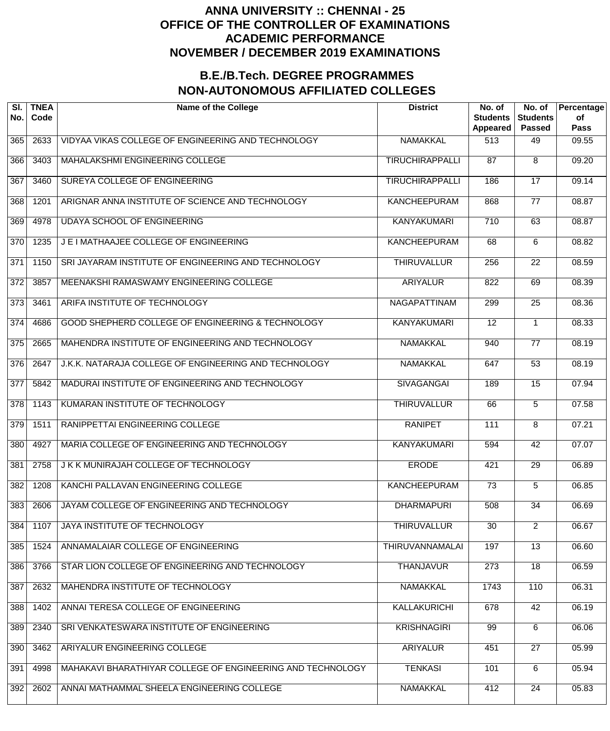| SI.<br>No.       | <b>TNEA</b><br>Code | <b>Name of the College</b>                                 | <b>District</b>        | No. of<br><b>Students</b><br>Appeared | No. of<br><b>Students</b><br><b>Passed</b> | Percentage<br>of<br><b>Pass</b> |
|------------------|---------------------|------------------------------------------------------------|------------------------|---------------------------------------|--------------------------------------------|---------------------------------|
| 365              | 2633                | VIDYAA VIKAS COLLEGE OF ENGINEERING AND TECHNOLOGY         | <b>NAMAKKAL</b>        | 513                                   | 49                                         | 09.55                           |
| 366              | 3403                | MAHALAKSHMI ENGINEERING COLLEGE                            | <b>TIRUCHIRAPPALLI</b> | $\overline{87}$                       | 8                                          | 09.20                           |
| 367              | 3460                | SUREYA COLLEGE OF ENGINEERING                              | <b>TIRUCHIRAPPALLI</b> | 186                                   | $\overline{17}$                            | 09.14                           |
| 368              | 1201                | ARIGNAR ANNA INSTITUTE OF SCIENCE AND TECHNOLOGY           | <b>KANCHEEPURAM</b>    | 868                                   | $\overline{77}$                            | 08.87                           |
| 369              | 4978                | <b>UDAYA SCHOOL OF ENGINEERING</b>                         | <b>KANYAKUMARI</b>     | $\overline{710}$                      | 63                                         | 08.87                           |
| $\overline{370}$ | 1235                | J E I MATHAAJEE COLLEGE OF ENGINEERING                     | <b>KANCHEEPURAM</b>    | 68                                    | 6                                          | 08.82                           |
| $\overline{371}$ | 1150                | SRI JAYARAM INSTITUTE OF ENGINEERING AND TECHNOLOGY        | <b>THIRUVALLUR</b>     | 256                                   | 22                                         | 08.59                           |
| $\overline{372}$ | 3857                | MEENAKSHI RAMASWAMY ENGINEERING COLLEGE                    | <b>ARIYALUR</b>        | 822                                   | 69                                         | 08.39                           |
| $\overline{373}$ | 3461                | ARIFA INSTITUTE OF TECHNOLOGY                              | NAGAPATTINAM           | 299                                   | $\overline{25}$                            | 08.36                           |
| $\overline{374}$ | 4686                | GOOD SHEPHERD COLLEGE OF ENGINEERING & TECHNOLOGY          | <b>KANYAKUMARI</b>     | $\overline{12}$                       | $\mathbf 1$                                | 08.33                           |
| $\overline{375}$ | 2665                | MAHENDRA INSTITUTE OF ENGINEERING AND TECHNOLOGY           | <b>NAMAKKAL</b>        | 940                                   | $\overline{77}$                            | 08.19                           |
| 376              | 2647                | J.K.K. NATARAJA COLLEGE OF ENGINEERING AND TECHNOLOGY      | <b>NAMAKKAL</b>        | 647                                   | $\overline{53}$                            | 08.19                           |
| $\overline{377}$ | 5842                | MADURAI INSTITUTE OF ENGINEERING AND TECHNOLOGY            | <b>SIVAGANGAI</b>      | 189                                   | $\overline{15}$                            | 07.94                           |
| $\overline{378}$ | 1143                | KUMARAN INSTITUTE OF TECHNOLOGY                            | <b>THIRUVALLUR</b>     | 66                                    | 5                                          | 07.58                           |
| $\overline{379}$ | 1511                | RANIPPETTAI ENGINEERING COLLEGE                            | <b>RANIPET</b>         | 111                                   | 8                                          | 07.21                           |
| 380              | 4927                | MARIA COLLEGE OF ENGINEERING AND TECHNOLOGY                | <b>KANYAKUMARI</b>     | 594                                   | $\overline{42}$                            | 07.07                           |
| 381              | 2758                | J K K MUNIRAJAH COLLEGE OF TECHNOLOGY                      | <b>ERODE</b>           | 421                                   | $\overline{29}$                            | 06.89                           |
| 382              | 1208                | KANCHI PALLAVAN ENGINEERING COLLEGE                        | <b>KANCHEEPURAM</b>    | $\overline{73}$                       | 5                                          | 06.85                           |
| 383              | 2606                | JAYAM COLLEGE OF ENGINEERING AND TECHNOLOGY                | <b>DHARMAPURI</b>      | 508                                   | $\overline{34}$                            | 06.69                           |
| 384              | 1107                | JAYA INSTITUTE OF TECHNOLOGY                               | <b>THIRUVALLUR</b>     | $\overline{30}$                       | $\overline{2}$                             | 06.67                           |
| 385              | 1524                | ANNAMALAIAR COLLEGE OF ENGINEERING                         | <b>THIRUVANNAMALAI</b> | 197                                   | $\overline{13}$                            | 06.60                           |
| 386              | 3766                | STAR LION COLLEGE OF ENGINEERING AND TECHNOLOGY            | <b>THANJAVUR</b>       | 273                                   | $\overline{18}$                            | 06.59                           |
| 387              | 2632                | MAHENDRA INSTITUTE OF TECHNOLOGY                           | <b>NAMAKKAL</b>        | 1743                                  | 110                                        | 06.31                           |
| 388              | 1402                | ANNAI TERESA COLLEGE OF ENGINEERING                        | <b>KALLAKURICHI</b>    | 678                                   | 42                                         | 06.19                           |
| 389              | 2340                | SRI VENKATESWARA INSTITUTE OF ENGINEERING                  | <b>KRISHNAGIRI</b>     | 99                                    | 6                                          | 06.06                           |
| 390              | 3462                | ARIYALUR ENGINEERING COLLEGE                               | <b>ARIYALUR</b>        | 451                                   | 27                                         | 05.99                           |
| 391              | 4998                | MAHAKAVI BHARATHIYAR COLLEGE OF ENGINEERING AND TECHNOLOGY | <b>TENKASI</b>         | 101                                   | 6                                          | 05.94                           |
| 392              | 2602                | ANNAI MATHAMMAL SHEELA ENGINEERING COLLEGE                 | <b>NAMAKKAL</b>        | 412                                   | 24                                         | 05.83                           |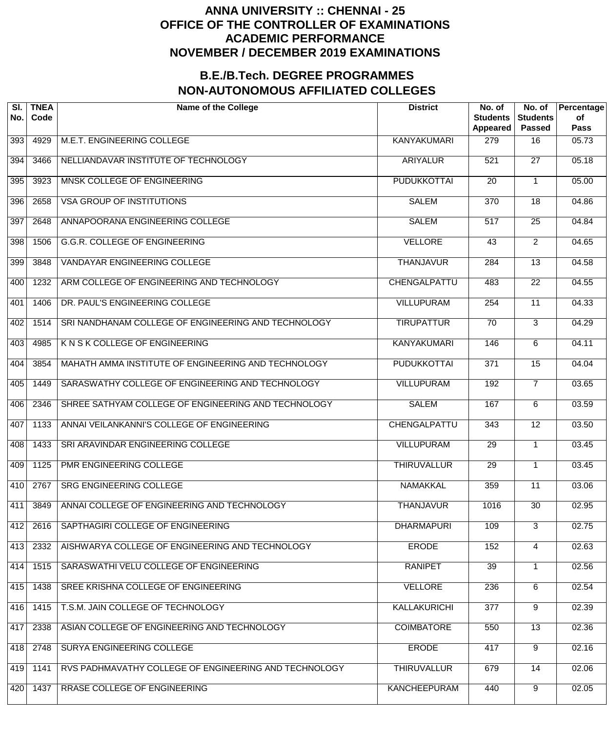| SI.<br>No. | <b>TNEA</b><br>Code | <b>Name of the College</b>                            | <b>District</b>     | No. of<br><b>Students</b><br>Appeared | No. of<br><b>Students</b><br><b>Passed</b> | Percentage<br>of<br><b>Pass</b> |
|------------|---------------------|-------------------------------------------------------|---------------------|---------------------------------------|--------------------------------------------|---------------------------------|
| 393        | 4929                | M.E.T. ENGINEERING COLLEGE                            | <b>KANYAKUMARI</b>  | 279                                   | 16                                         | 05.73                           |
| 394        | 3466                | NELLIANDAVAR INSTITUTE OF TECHNOLOGY                  | <b>ARIYALUR</b>     | 521                                   | $\overline{27}$                            | 05.18                           |
| 395        | 3923                | MNSK COLLEGE OF ENGINEERING                           | <b>PUDUKKOTTAI</b>  | $\overline{20}$                       |                                            | 05.00                           |
| 396        | 2658                | <b>VSA GROUP OF INSTITUTIONS</b>                      | <b>SALEM</b>        | $\overline{370}$                      | $\overline{18}$                            | 04.86                           |
| 397        | 2648                | ANNAPOORANA ENGINEERING COLLEGE                       | <b>SALEM</b>        | $\overline{517}$                      | $\overline{25}$                            | 04.84                           |
| 398        | 1506                | <b>G.G.R. COLLEGE OF ENGINEERING</b>                  | <b>VELLORE</b>      | 43                                    | $\overline{2}$                             | 04.65                           |
| 399        | 3848                | <b>VANDAYAR ENGINEERING COLLEGE</b>                   | <b>THANJAVUR</b>    | 284                                   | $\overline{13}$                            | 04.58                           |
| 400        | 1232                | ARM COLLEGE OF ENGINEERING AND TECHNOLOGY             | CHENGALPATTU        | 483                                   | $\overline{22}$                            | 04.55                           |
| 401        | 1406                | DR. PAUL'S ENGINEERING COLLEGE                        | <b>VILLUPURAM</b>   | 254                                   | $\overline{11}$                            | 04.33                           |
| 402        | 1514                | SRI NANDHANAM COLLEGE OF ENGINEERING AND TECHNOLOGY   | <b>TIRUPATTUR</b>   | $\overline{70}$                       | 3                                          | 04.29                           |
| 403        | 4985                | K N S K COLLEGE OF ENGINEERING                        | <b>KANYAKUMARI</b>  | 146                                   | 6                                          | 04.11                           |
| 404        | 3854                | MAHATH AMMA INSTITUTE OF ENGINEERING AND TECHNOLOGY   | <b>PUDUKKOTTAI</b>  | $\overline{371}$                      | $\overline{15}$                            | 04.04                           |
| 405        | 1449                | SARASWATHY COLLEGE OF ENGINEERING AND TECHNOLOGY      | <b>VILLUPURAM</b>   | 192                                   | $\overline{7}$                             | 03.65                           |
| 406        | 2346                | SHREE SATHYAM COLLEGE OF ENGINEERING AND TECHNOLOGY   | <b>SALEM</b>        | 167                                   | 6                                          | 03.59                           |
| 407        | 1133                | ANNAI VEILANKANNI'S COLLEGE OF ENGINEERING            | CHENGALPATTU        | 343                                   | $\overline{12}$                            | 03.50                           |
| 408        | 1433                | SRI ARAVINDAR ENGINEERING COLLEGE                     | <b>VILLUPURAM</b>   | $\overline{29}$                       |                                            | 03.45                           |
| 409        | 1125                | <b>PMR ENGINEERING COLLEGE</b>                        | <b>THIRUVALLUR</b>  | $\overline{29}$                       |                                            | 03.45                           |
| 410        | 2767                | <b>SRG ENGINEERING COLLEGE</b>                        | <b>NAMAKKAL</b>     | 359                                   | 11                                         | 03.06                           |
| 411        | 3849                | ANNAI COLLEGE OF ENGINEERING AND TECHNOLOGY           | <b>THANJAVUR</b>    | 1016                                  | $\overline{30}$                            | 02.95                           |
| 412        | 2616                | SAPTHAGIRI COLLEGE OF ENGINEERING                     | <b>DHARMAPURI</b>   | 109                                   | $\overline{3}$                             | 02.75                           |
| 413        | 2332                | AISHWARYA COLLEGE OF ENGINEERING AND TECHNOLOGY       | <b>ERODE</b>        | 152                                   | 4                                          | 02.63                           |
| 414        | 1515                | SARASWATHI VELU COLLEGE OF ENGINEERING                | <b>RANIPET</b>      | $\overline{39}$                       |                                            | 02.56                           |
| 415        | 1438                | SREE KRISHNA COLLEGE OF ENGINEERING                   | <b>VELLORE</b>      | 236                                   | 6                                          | 02.54                           |
| 416        | 1415                | T.S.M. JAIN COLLEGE OF TECHNOLOGY                     | <b>KALLAKURICHI</b> | 377                                   | 9                                          | 02.39                           |
| 417        | 2338                | ASIAN COLLEGE OF ENGINEERING AND TECHNOLOGY           | <b>COIMBATORE</b>   | 550                                   | $\overline{13}$                            | 02.36                           |
| 418        | 2748                | SURYA ENGINEERING COLLEGE                             | <b>ERODE</b>        | 417                                   | $\overline{9}$                             | 02.16                           |
| 419        | 1141                | RVS PADHMAVATHY COLLEGE OF ENGINEERING AND TECHNOLOGY | <b>THIRUVALLUR</b>  | 679                                   | $\overline{14}$                            | 02.06                           |
| 420        | 1437                | RRASE COLLEGE OF ENGINEERING                          | <b>KANCHEEPURAM</b> | 440                                   | $\overline{9}$                             | 02.05                           |